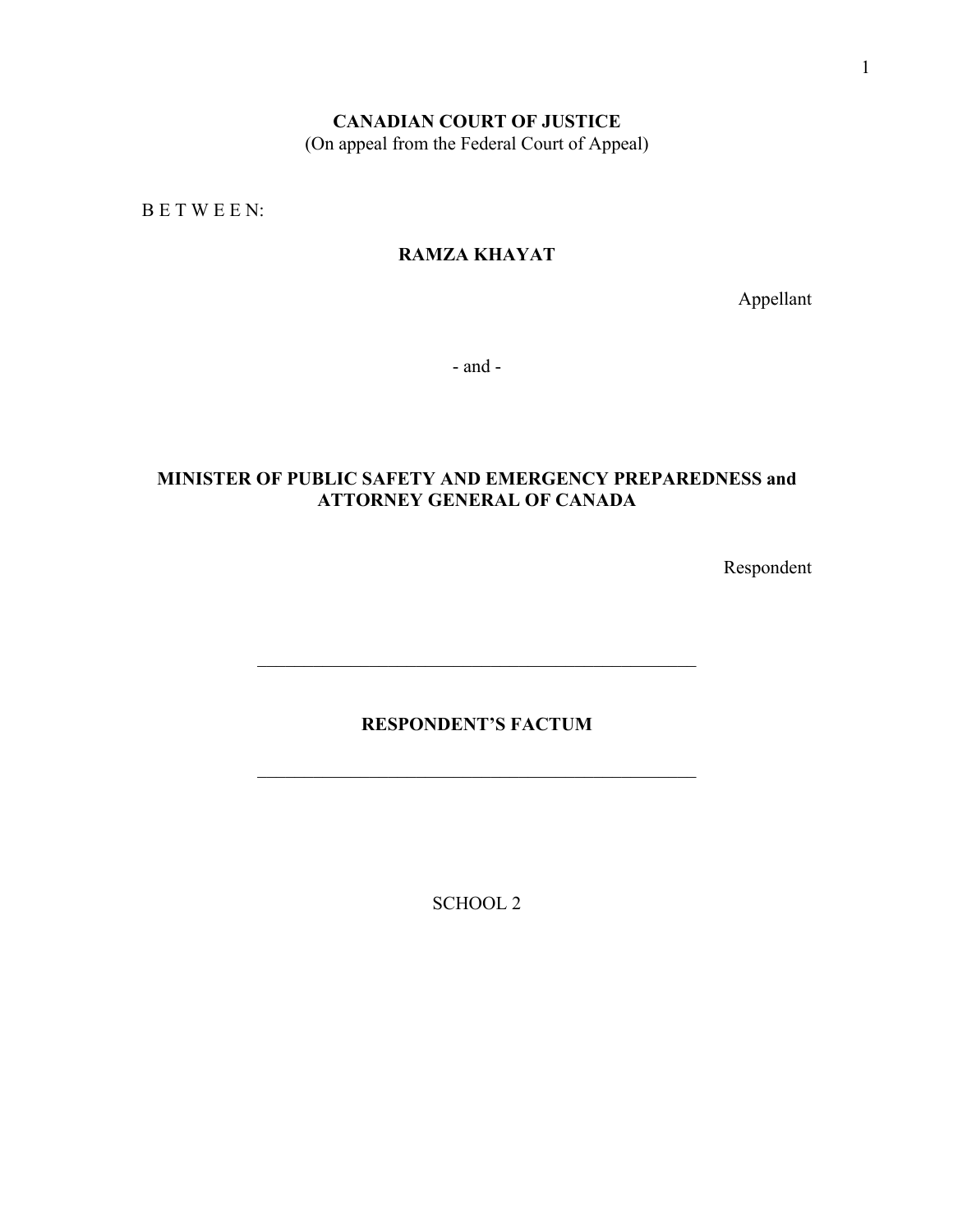# **CANADIAN COURT OF JUSTICE**

(On appeal from the Federal Court of Appeal)

B E T W E E N:

# **RAMZA KHAYAT**

Appellant

- and -

## **MINISTER OF PUBLIC SAFETY AND EMERGENCY PREPAREDNESS and ATTORNEY GENERAL OF CANADA**

Respondent

## **RESPONDENT'S FACTUM**

SCHOOL 2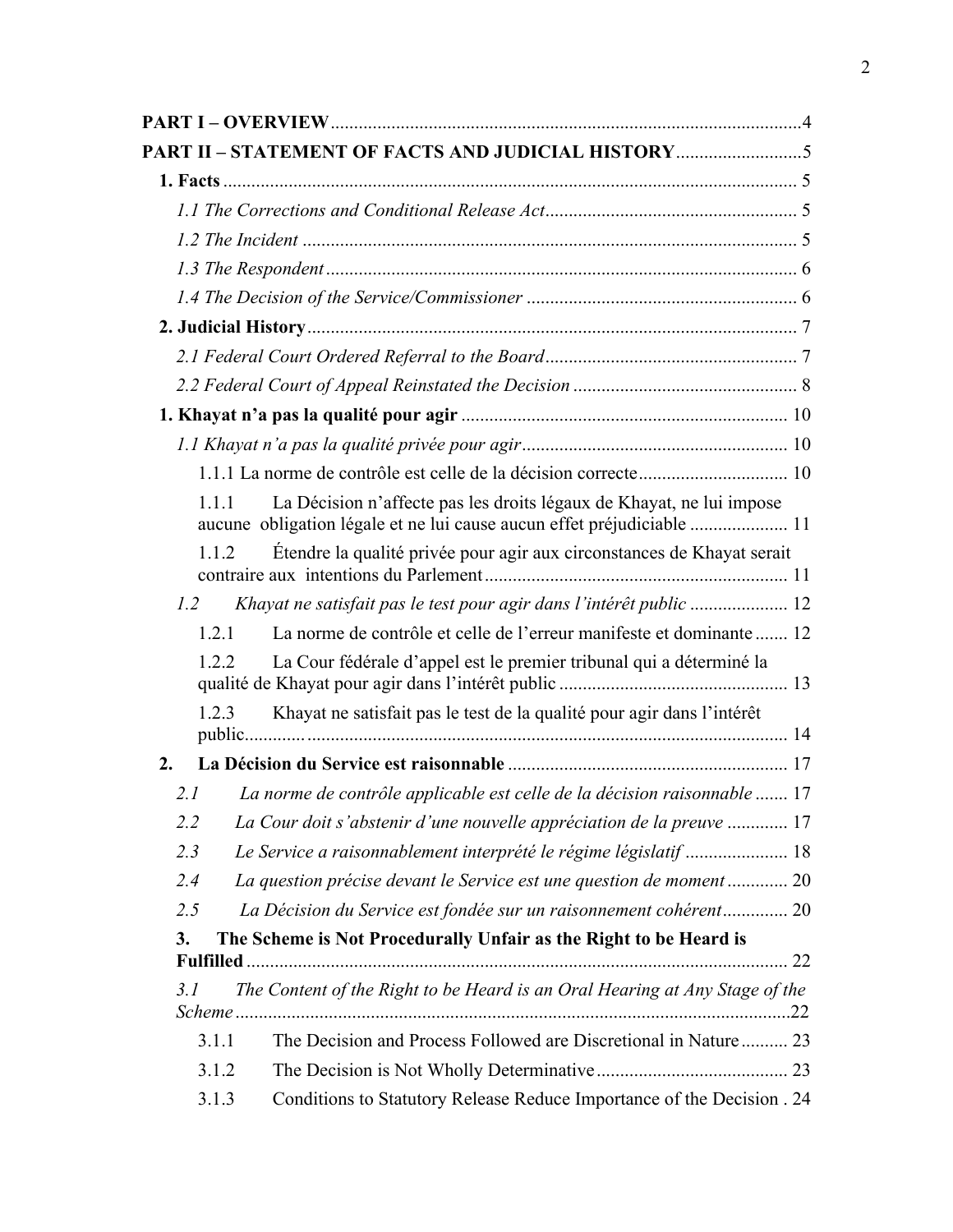| PART II - STATEMENT OF FACTS AND JUDICIAL HISTORY                                                                                                       |
|---------------------------------------------------------------------------------------------------------------------------------------------------------|
|                                                                                                                                                         |
|                                                                                                                                                         |
|                                                                                                                                                         |
|                                                                                                                                                         |
|                                                                                                                                                         |
|                                                                                                                                                         |
|                                                                                                                                                         |
|                                                                                                                                                         |
|                                                                                                                                                         |
|                                                                                                                                                         |
|                                                                                                                                                         |
| La Décision n'affecte pas les droits légaux de Khayat, ne lui impose<br>1.1.1<br>aucune obligation légale et ne lui cause aucun effet préjudiciable  11 |
| Étendre la qualité privée pour agir aux circonstances de Khayat serait<br>1.1.2                                                                         |
| 1.2                                                                                                                                                     |
| La norme de contrôle et celle de l'erreur manifeste et dominante  12<br>1.2.1                                                                           |
| La Cour fédérale d'appel est le premier tribunal qui a déterminé la<br>1.2.2                                                                            |
| Khayat ne satisfait pas le test de la qualité pour agir dans l'intérêt<br>1.2.3                                                                         |
| 2.                                                                                                                                                      |
| La norme de contrôle applicable est celle de la décision raisonnable  17<br>2.I                                                                         |
| 2.2<br>La Cour doit s'abstenir d'une nouvelle appréciation de la preuve  17                                                                             |
| 2.3<br>Le Service a raisonnablement interprété le régime législatif  18                                                                                 |
| La question précise devant le Service est une question de moment  20<br>2.4                                                                             |
| La Décision du Service est fondée sur un raisonnement cohérent 20<br>2.5                                                                                |
| The Scheme is Not Procedurally Unfair as the Right to be Heard is<br>3.                                                                                 |
|                                                                                                                                                         |
| The Content of the Right to be Heard is an Oral Hearing at Any Stage of the<br>3.1                                                                      |
| The Decision and Process Followed are Discretional in Nature 23<br>3.1.1                                                                                |
| 3.1.2                                                                                                                                                   |
| Conditions to Statutory Release Reduce Importance of the Decision . 24<br>3.1.3                                                                         |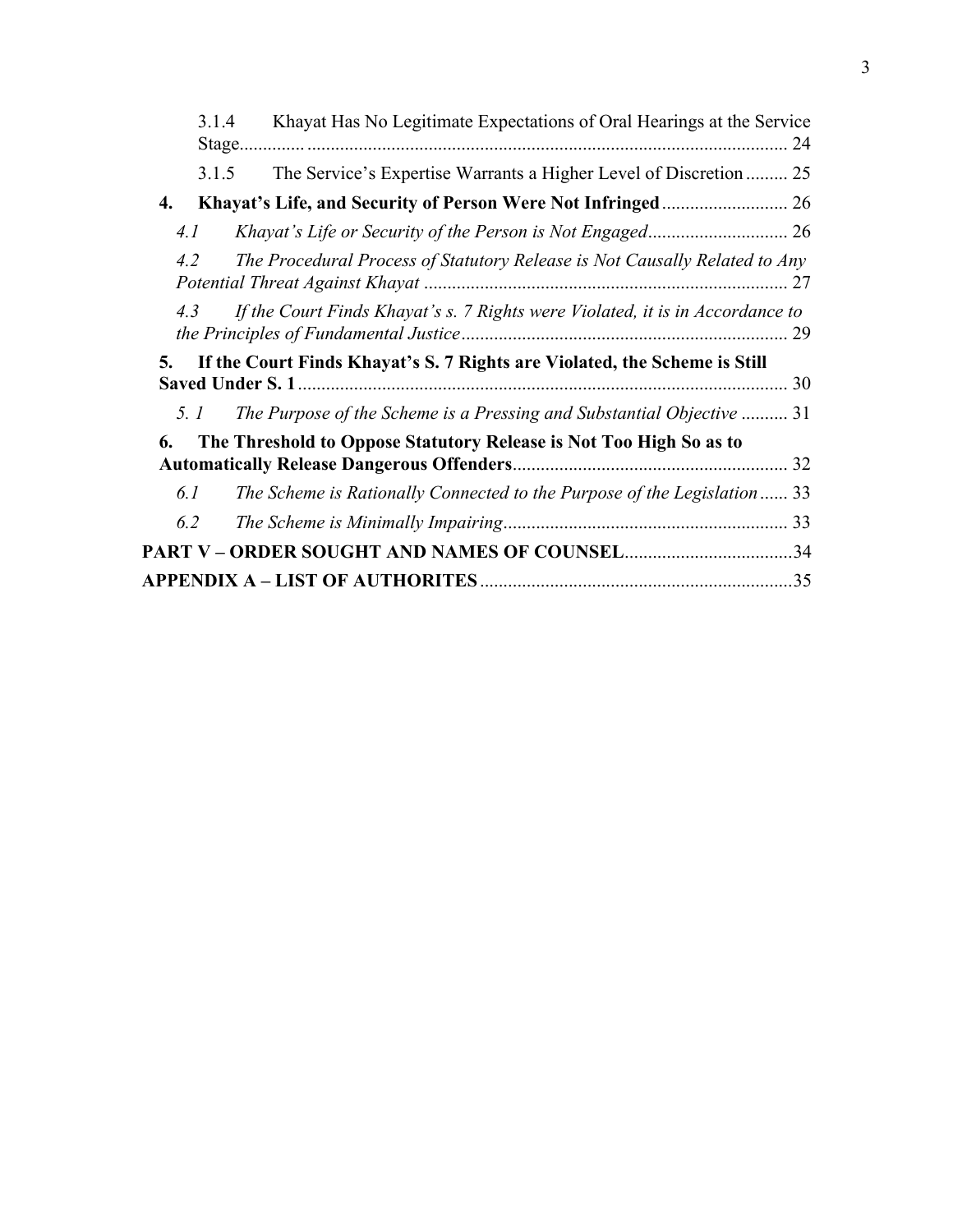| 3.1.4 | Khayat Has No Legitimate Expectations of Oral Hearings at the Service<br>Stage<br>24                 |
|-------|------------------------------------------------------------------------------------------------------|
| 3.1.5 | The Service's Expertise Warrants a Higher Level of Discretion  25                                    |
| 4.    |                                                                                                      |
| 4.1   |                                                                                                      |
| 4.2   | The Procedural Process of Statutory Release is Not Causally Related to Any                           |
| 4.3   | If the Court Finds Khayat's s. 7 Rights were Violated, it is in Accordance to                        |
| 5.    | If the Court Finds Khayat's S. 7 Rights are Violated, the Scheme is Still<br><b>Saved Under S. 1</b> |
| 5. I  | The Purpose of the Scheme is a Pressing and Substantial Objective  31                                |
| 6.    | The Threshold to Oppose Statutory Release is Not Too High So as to                                   |
| 6.1   | The Scheme is Rationally Connected to the Purpose of the Legislation  33                             |
| 6.2   |                                                                                                      |
|       | PART V – ORDER SOUGHT AND NAMES OF COUNSEL34                                                         |
|       |                                                                                                      |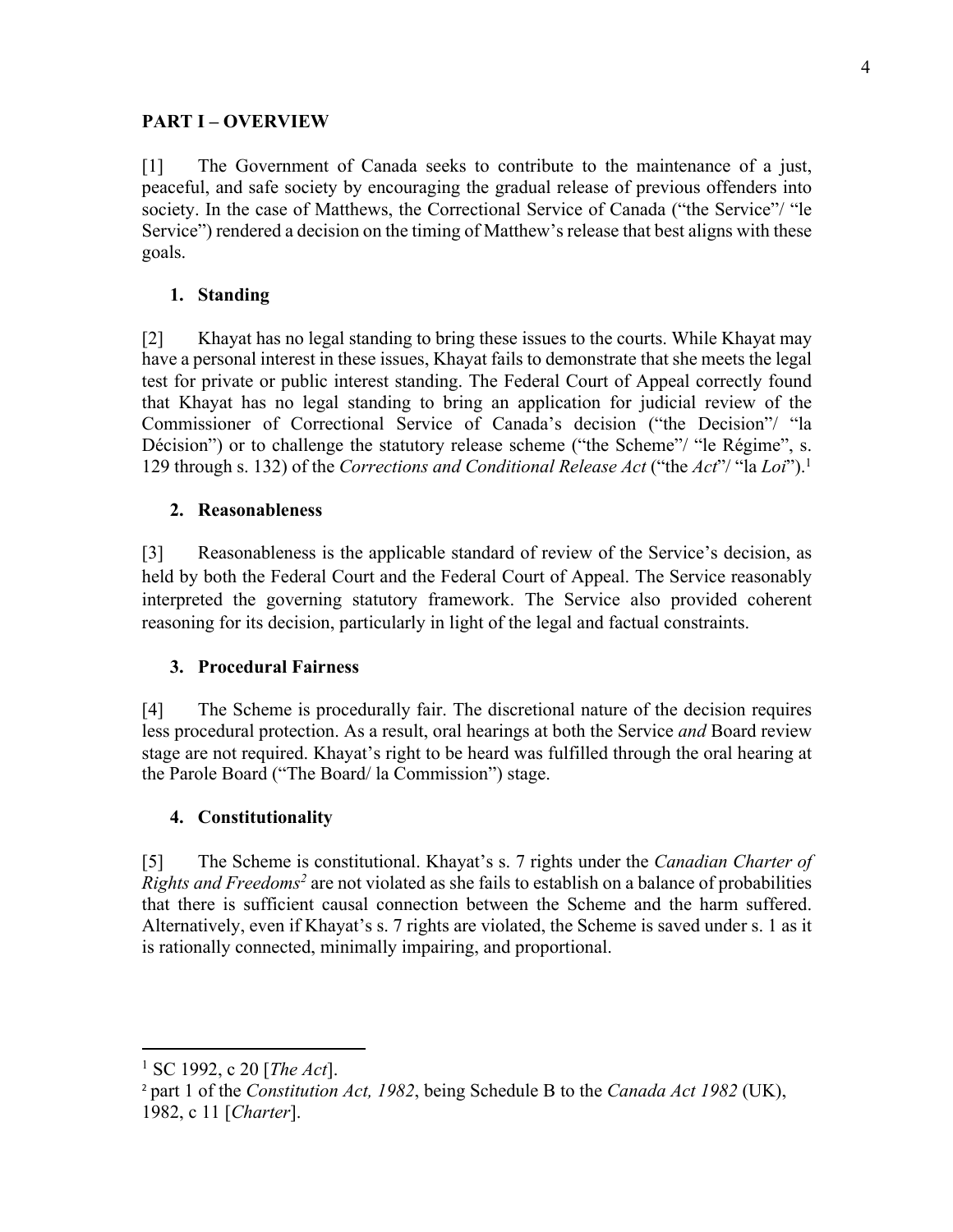# **PART I – OVERVIEW**

[1] The Government of Canada seeks to contribute to the maintenance of a just, peaceful, and safe society by encouraging the gradual release of previous offenders into society. In the case of Matthews, the Correctional Service of Canada ("the Service"/ "le Service") rendered a decision on the timing of Matthew's release that best aligns with these goals.

# **1. Standing**

[2] Khayat has no legal standing to bring these issues to the courts. While Khayat may have a personal interest in these issues, Khayat fails to demonstrate that she meets the legal test for private or public interest standing. The Federal Court of Appeal correctly found that Khayat has no legal standing to bring an application for judicial review of the Commissioner of Correctional Service of Canada's decision ("the Decision"/ "la Décision") or to challenge the statutory release scheme ("the Scheme"/ "le Régime", s. 129 through s. 132) of the *Corrections and Conditional Release Act* ("the *Act*"/ "la *Loi*").1

# **2. Reasonableness**

[3] Reasonableness is the applicable standard of review of the Service's decision, as held by both the Federal Court and the Federal Court of Appeal. The Service reasonably interpreted the governing statutory framework. The Service also provided coherent reasoning for its decision, particularly in light of the legal and factual constraints.

### **3. Procedural Fairness**

[4] The Scheme is procedurally fair. The discretional nature of the decision requires less procedural protection. As a result, oral hearings at both the Service *and* Board review stage are not required. Khayat's right to be heard was fulfilled through the oral hearing at the Parole Board ("The Board/ la Commission") stage.

### **4. Constitutionality**

[5] The Scheme is constitutional. Khayat's s. 7 rights under the *Canadian Charter of Rights and Freedoms2* are not violated as she fails to establish on a balance of probabilities that there is sufficient causal connection between the Scheme and the harm suffered. Alternatively, even if Khayat's s. 7 rights are violated, the Scheme is saved under s. 1 as it is rationally connected, minimally impairing, and proportional.

<sup>1</sup> SC 1992, c 20 [*The Act*].

<sup>2</sup> part 1 of the *Constitution Act, 1982*, being Schedule B to the *Canada Act 1982* (UK), 1982, c 11 [*Charter*].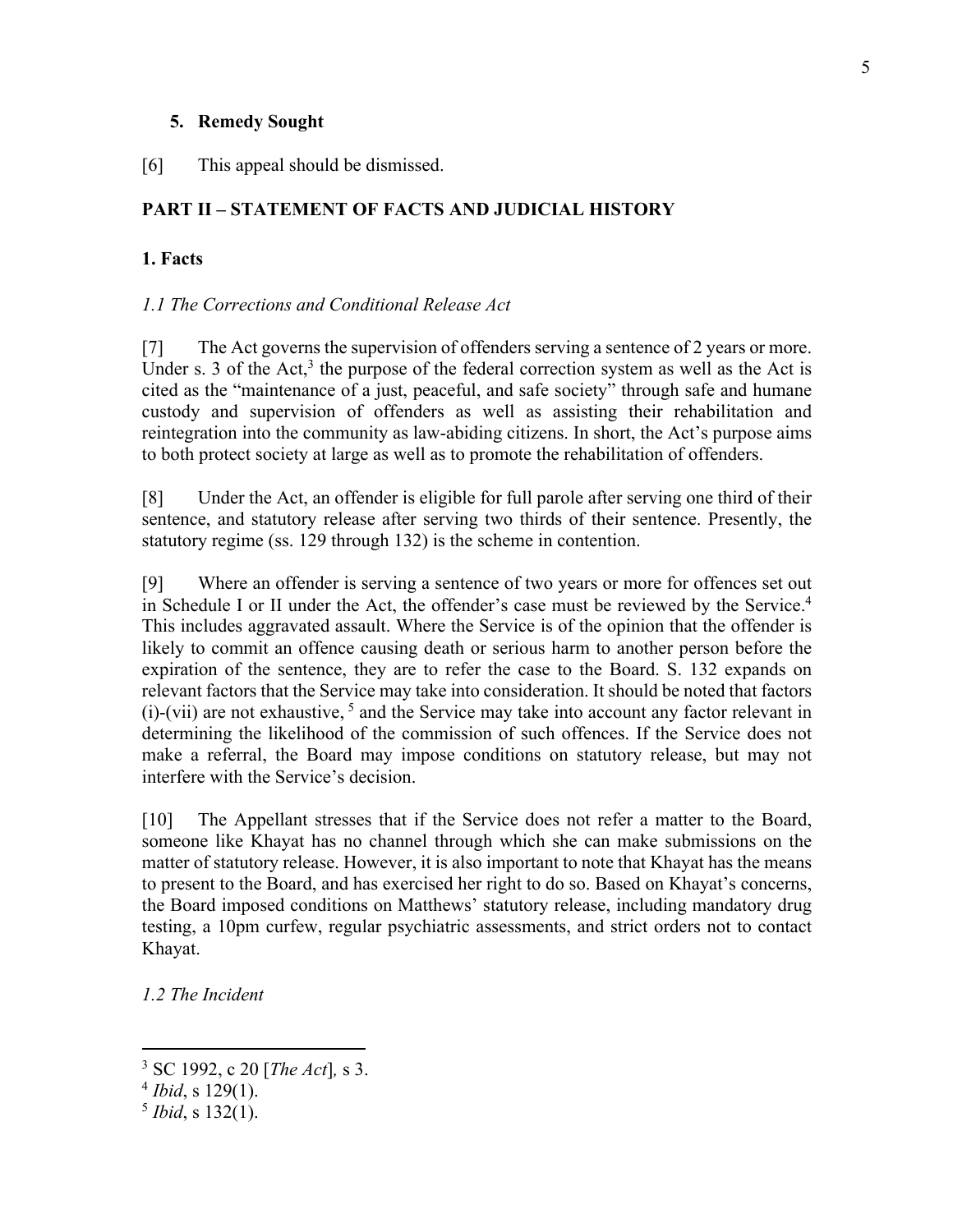#### **5. Remedy Sought**

[6] This appeal should be dismissed.

# **PART II – STATEMENT OF FACTS AND JUDICIAL HISTORY**

### **1. Facts**

#### *1.1 The Corrections and Conditional Release Act*

[7] The Act governs the supervision of offenders serving a sentence of 2 years or more. Under s. 3 of the Act,<sup>3</sup> the purpose of the federal correction system as well as the Act is cited as the "maintenance of a just, peaceful, and safe society" through safe and humane custody and supervision of offenders as well as assisting their rehabilitation and reintegration into the community as law-abiding citizens. In short, the Act's purpose aims to both protect society at large as well as to promote the rehabilitation of offenders.

[8] Under the Act, an offender is eligible for full parole after serving one third of their sentence, and statutory release after serving two thirds of their sentence. Presently, the statutory regime (ss. 129 through 132) is the scheme in contention.

[9] Where an offender is serving a sentence of two years or more for offences set out in Schedule I or II under the Act, the offender's case must be reviewed by the Service. 4 This includes aggravated assault. Where the Service is of the opinion that the offender is likely to commit an offence causing death or serious harm to another person before the expiration of the sentence, they are to refer the case to the Board. S. 132 expands on relevant factors that the Service may take into consideration. It should be noted that factors  $(i)$ -(vii) are not exhaustive,  $5$  and the Service may take into account any factor relevant in determining the likelihood of the commission of such offences. If the Service does not make a referral, the Board may impose conditions on statutory release, but may not interfere with the Service's decision.

[10] The Appellant stresses that if the Service does not refer a matter to the Board, someone like Khayat has no channel through which she can make submissions on the matter of statutory release. However, it is also important to note that Khayat has the means to present to the Board, and has exercised her right to do so. Based on Khayat's concerns, the Board imposed conditions on Matthews' statutory release, including mandatory drug testing, a 10pm curfew, regular psychiatric assessments, and strict orders not to contact Khayat.

*1.2 The Incident* 

<sup>3</sup> SC 1992, c 20 [*The Act*]*,* s 3.

<sup>4</sup> *Ibid*, s 129(1).

<sup>5</sup> *Ibid*, s 132(1).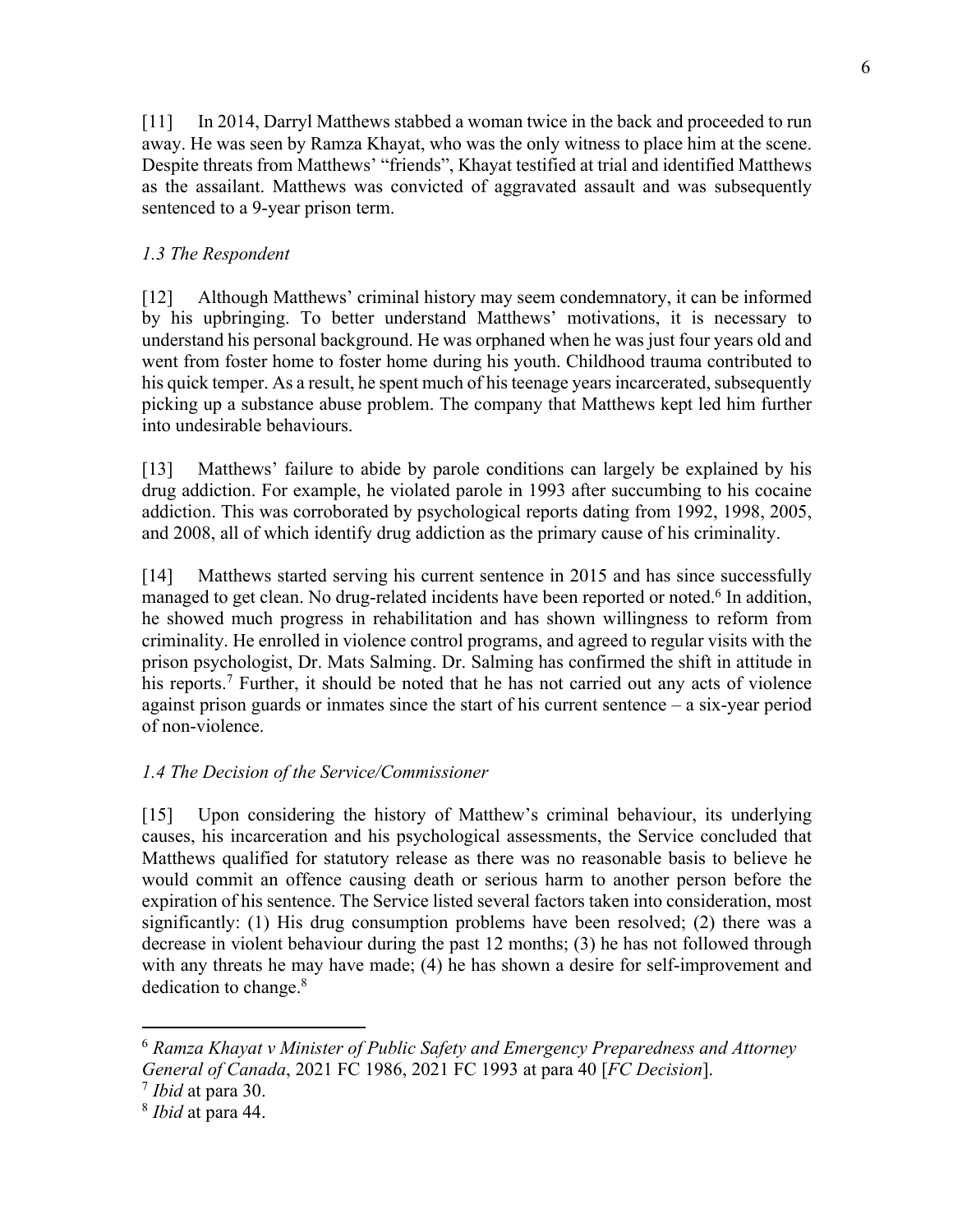[11] In 2014, Darryl Matthews stabbed a woman twice in the back and proceeded to run away. He was seen by Ramza Khayat, who was the only witness to place him at the scene. Despite threats from Matthews' "friends", Khayat testified at trial and identified Matthews as the assailant. Matthews was convicted of aggravated assault and was subsequently sentenced to a 9-year prison term.

# *1.3 The Respondent*

[12] Although Matthews' criminal history may seem condemnatory, it can be informed by his upbringing. To better understand Matthews' motivations, it is necessary to understand his personal background. He was orphaned when he was just four years old and went from foster home to foster home during his youth. Childhood trauma contributed to his quick temper. As a result, he spent much of his teenage years incarcerated, subsequently picking up a substance abuse problem. The company that Matthews kept led him further into undesirable behaviours.

[13] Matthews' failure to abide by parole conditions can largely be explained by his drug addiction. For example, he violated parole in 1993 after succumbing to his cocaine addiction. This was corroborated by psychological reports dating from 1992, 1998, 2005, and 2008, all of which identify drug addiction as the primary cause of his criminality.

[14] Matthews started serving his current sentence in 2015 and has since successfully managed to get clean. No drug-related incidents have been reported or noted.<sup>6</sup> In addition, he showed much progress in rehabilitation and has shown willingness to reform from criminality. He enrolled in violence control programs, and agreed to regular visits with the prison psychologist, Dr. Mats Salming. Dr. Salming has confirmed the shift in attitude in his reports.<sup>7</sup> Further, it should be noted that he has not carried out any acts of violence against prison guards or inmates since the start of his current sentence – a six-year period of non-violence.

# *1.4 The Decision of the Service/Commissioner*

[15] Upon considering the history of Matthew's criminal behaviour, its underlying causes, his incarceration and his psychological assessments, the Service concluded that Matthews qualified for statutory release as there was no reasonable basis to believe he would commit an offence causing death or serious harm to another person before the expiration of his sentence. The Service listed several factors taken into consideration, most significantly: (1) His drug consumption problems have been resolved; (2) there was a decrease in violent behaviour during the past 12 months; (3) he has not followed through with any threats he may have made; (4) he has shown a desire for self-improvement and dedication to change. 8

<sup>7</sup> *Ibid* at para 30.

<sup>6</sup> *Ramza Khayat v Minister of Public Safety and Emergency Preparedness and Attorney General of Canada*, 2021 FC 1986, 2021 FC 1993 at para 40 [*FC Decision*].

<sup>8</sup> *Ibid* at para 44.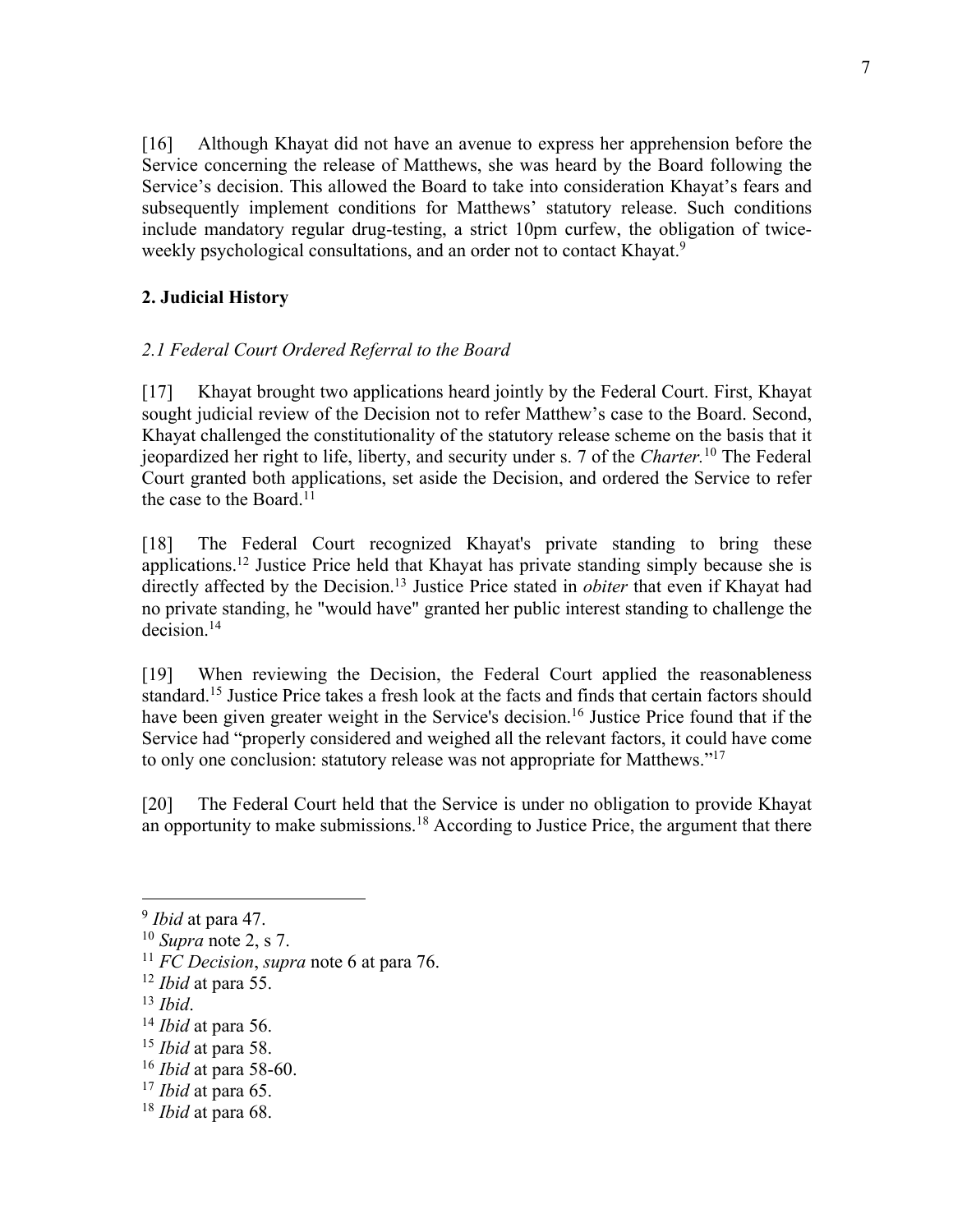[16] Although Khayat did not have an avenue to express her apprehension before the Service concerning the release of Matthews, she was heard by the Board following the Service's decision. This allowed the Board to take into consideration Khayat's fears and subsequently implement conditions for Matthews' statutory release. Such conditions include mandatory regular drug-testing, a strict 10pm curfew, the obligation of twiceweekly psychological consultations, and an order not to contact Khayat.<sup>9</sup>

# **2. Judicial History**

# *2.1 Federal Court Ordered Referral to the Board*

[17] Khayat brought two applications heard jointly by the Federal Court. First, Khayat sought judicial review of the Decision not to refer Matthew's case to the Board. Second, Khayat challenged the constitutionality of the statutory release scheme on the basis that it jeopardized her right to life, liberty, and security under s. 7 of the *Charter.* <sup>10</sup> The Federal Court granted both applications, set aside the Decision, and ordered the Service to refer the case to the Board.<sup>11</sup>

[18] The Federal Court recognized Khayat's private standing to bring these applications.12 Justice Price held that Khayat has private standing simply because she is directly affected by the Decision.<sup>13</sup> Justice Price stated in *obiter* that even if Khayat had no private standing, he "would have" granted her public interest standing to challenge the decision.14

[19] When reviewing the Decision, the Federal Court applied the reasonableness standard.15 Justice Price takes a fresh look at the facts and finds that certain factors should have been given greater weight in the Service's decision.<sup>16</sup> Justice Price found that if the Service had "properly considered and weighed all the relevant factors, it could have come to only one conclusion: statutory release was not appropriate for Matthews."17

[20] The Federal Court held that the Service is under no obligation to provide Khayat an opportunity to make submissions.<sup>18</sup> According to Justice Price, the argument that there

- <sup>13</sup> *Ibid*.
- <sup>14</sup> *Ibid* at para 56.

<sup>17</sup> *Ibid* at para 65.

<sup>9</sup> *Ibid* at para 47.

<sup>10</sup> *Supra* note 2, s 7.

<sup>11</sup> *FC Decision*, *supra* note 6 at para 76.

<sup>12</sup> *Ibid* at para 55.

<sup>15</sup> *Ibid* at para 58.

<sup>16</sup> *Ibid* at para 58-60.

<sup>18</sup> *Ibid* at para 68.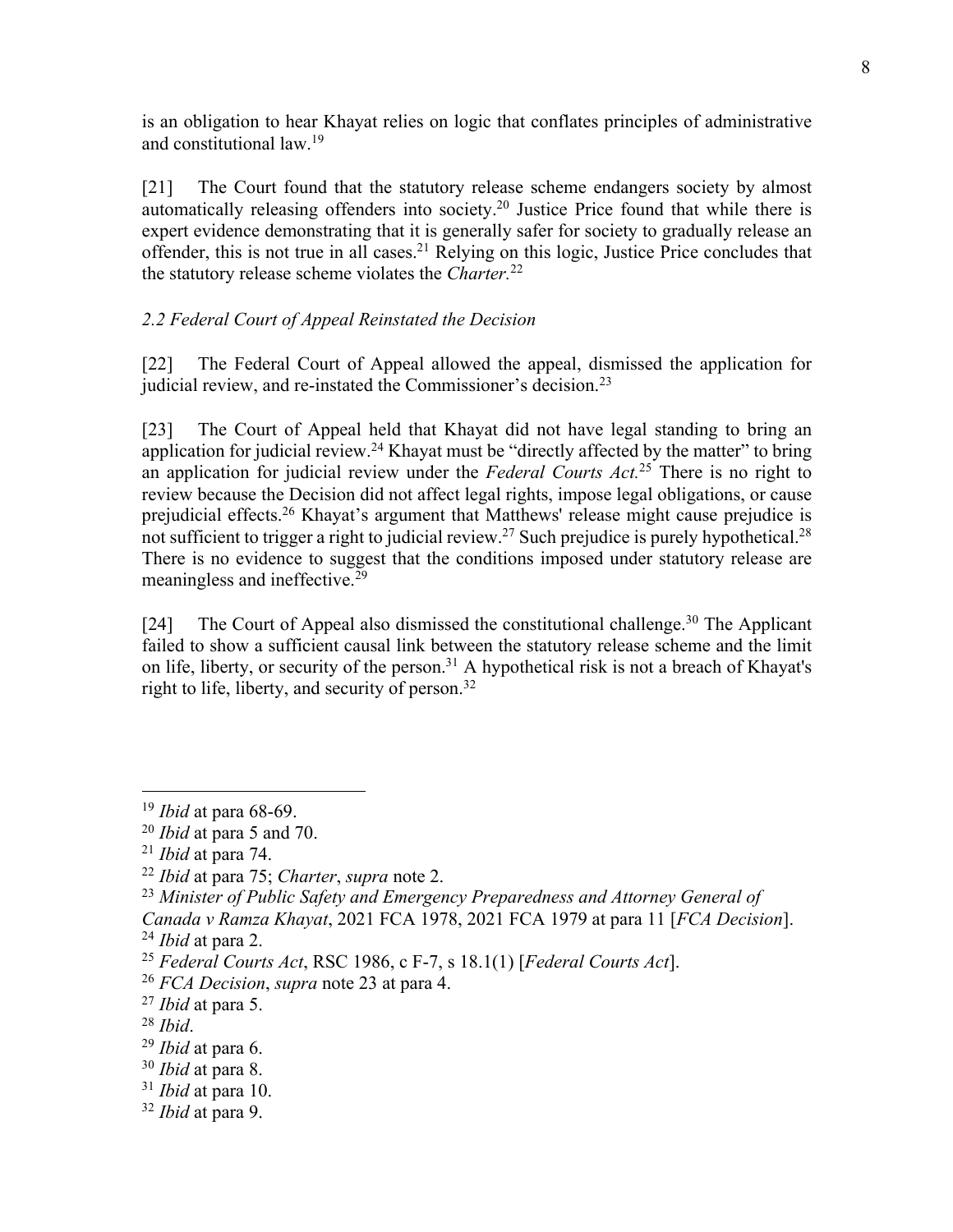is an obligation to hear Khayat relies on logic that conflates principles of administrative and constitutional law.19

[21] The Court found that the statutory release scheme endangers society by almost automatically releasing offenders into society.20 Justice Price found that while there is expert evidence demonstrating that it is generally safer for society to gradually release an offender, this is not true in all cases.21 Relying on this logic, Justice Price concludes that the statutory release scheme violates the *Charter.*<sup>22</sup>

# *2.2 Federal Court of Appeal Reinstated the Decision*

[22] The Federal Court of Appeal allowed the appeal, dismissed the application for judicial review, and re-instated the Commissioner's decision.<sup>23</sup>

[23] The Court of Appeal held that Khayat did not have legal standing to bring an application for judicial review.<sup>24</sup> Khayat must be "directly affected by the matter" to bring an application for judicial review under the *Federal Courts Act.*<sup>25</sup> There is no right to review because the Decision did not affect legal rights, impose legal obligations, or cause prejudicial effects.26 Khayat's argument that Matthews' release might cause prejudice is not sufficient to trigger a right to judicial review.<sup>27</sup> Such prejudice is purely hypothetical.<sup>28</sup> There is no evidence to suggest that the conditions imposed under statutory release are meaningless and ineffective.29

[24] The Court of Appeal also dismissed the constitutional challenge.<sup>30</sup> The Applicant failed to show a sufficient causal link between the statutory release scheme and the limit on life, liberty, or security of the person.<sup>31</sup> A hypothetical risk is not a breach of Khayat's right to life, liberty, and security of person.32

<sup>19</sup> *Ibid* at para 68-69.

<sup>20</sup> *Ibid* at para 5 and 70.

<sup>21</sup> *Ibid* at para 74.

<sup>22</sup> *Ibid* at para 75; *Charter*, *supra* note 2.

<sup>23</sup> *Minister of Public Safety and Emergency Preparedness and Attorney General of* 

*Canada v Ramza Khayat*, 2021 FCA 1978, 2021 FCA 1979 at para 11 [*FCA Decision*]. <sup>24</sup> *Ibid* at para 2.

<sup>25</sup> *Federal Courts Act*, RSC 1986, c F-7, s 18.1(1) [*Federal Courts Act*].

<sup>26</sup> *FCA Decision*, *supra* note 23 at para 4.

<sup>27</sup> *Ibid* at para 5.

<sup>28</sup> *Ibid*.

<sup>29</sup> *Ibid* at para 6.

<sup>30</sup> *Ibid* at para 8.

<sup>31</sup> *Ibid* at para 10.

<sup>32</sup> *Ibid* at para 9.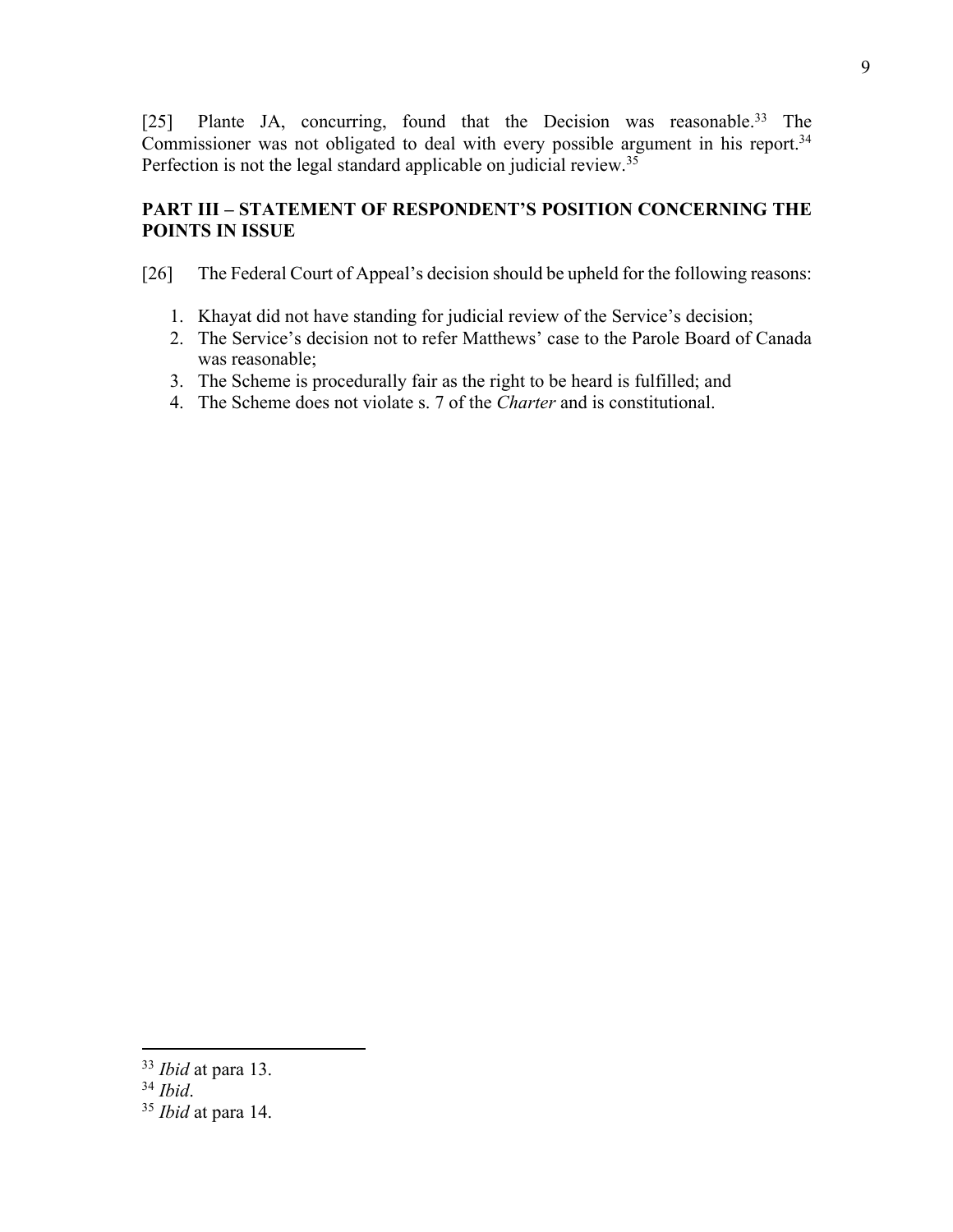[25] Plante JA, concurring, found that the Decision was reasonable.<sup>33</sup> The Commissioner was not obligated to deal with every possible argument in his report.<sup>34</sup> Perfection is not the legal standard applicable on judicial review.<sup>35</sup>

# **PART III – STATEMENT OF RESPONDENT'S POSITION CONCERNING THE POINTS IN ISSUE**

[26] The Federal Court of Appeal's decision should be upheld for the following reasons:

- 1. Khayat did not have standing for judicial review of the Service's decision;
- 2. The Service's decision not to refer Matthews' case to the Parole Board of Canada was reasonable;
- 3. The Scheme is procedurally fair as the right to be heard is fulfilled; and
- 4. The Scheme does not violate s. 7 of the *Charter* and is constitutional.

<sup>34</sup> *Ibid*.

<sup>33</sup> *Ibid* at para 13.

<sup>35</sup> *Ibid* at para 14.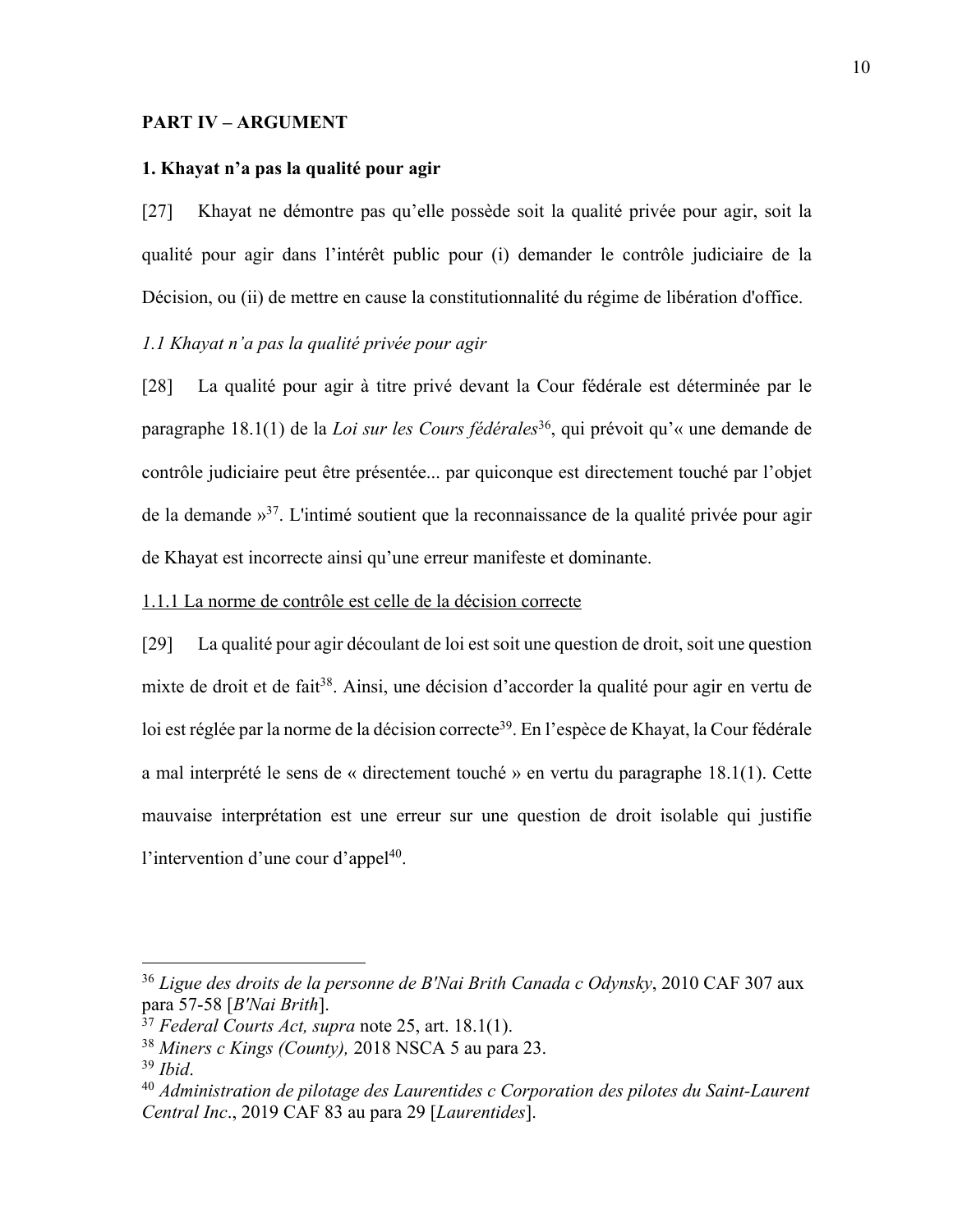#### **PART IV – ARGUMENT**

### **1. Khayat n'a pas la qualité pour agir**

[27] Khayat ne démontre pas qu'elle possède soit la qualité privée pour agir, soit la qualité pour agir dans l'intérêt public pour (i) demander le contrôle judiciaire de la Décision, ou (ii) de mettre en cause la constitutionnalité du régime de libération d'office.

## *1.1 Khayat n'a pas la qualité privée pour agir*

[28] La qualité pour agir à titre privé devant la Cour fédérale est déterminée par le paragraphe 18.1(1) de la *Loi sur les Cours fédérales*36, qui prévoit qu'« une demande de contrôle judiciaire peut être présentée... par quiconque est directement touché par l'objet de la demande »37. L'intimé soutient que la reconnaissance de la qualité privée pour agir de Khayat est incorrecte ainsi qu'une erreur manifeste et dominante.

#### 1.1.1 La norme de contrôle est celle de la décision correcte

[29] La qualité pour agir découlant de loi est soit une question de droit, soit une question mixte de droit et de fait<sup>38</sup>. Ainsi, une décision d'accorder la qualité pour agir en vertu de loi est réglée par la norme de la décision correcte<sup>39</sup>. En l'espèce de Khayat, la Cour fédérale a mal interprété le sens de « directement touché » en vertu du paragraphe 18.1(1). Cette mauvaise interprétation est une erreur sur une question de droit isolable qui justifie l'intervention d'une cour d'appel<sup>40</sup>.

<sup>36</sup> *Ligue des droits de la personne de B'Nai Brith Canada c Odynsky*, 2010 CAF 307 aux para 57-58 [*B'Nai Brith*].

<sup>37</sup> *Federal Courts Act, supra* note 25, art. 18.1(1).

<sup>38</sup> *Miners c Kings (County),* 2018 NSCA 5 au para 23.

<sup>39</sup> *Ibid*.

<sup>40</sup> *Administration de pilotage des Laurentides c Corporation des pilotes du Saint-Laurent Central Inc*., 2019 CAF 83 au para 29 [*Laurentides*].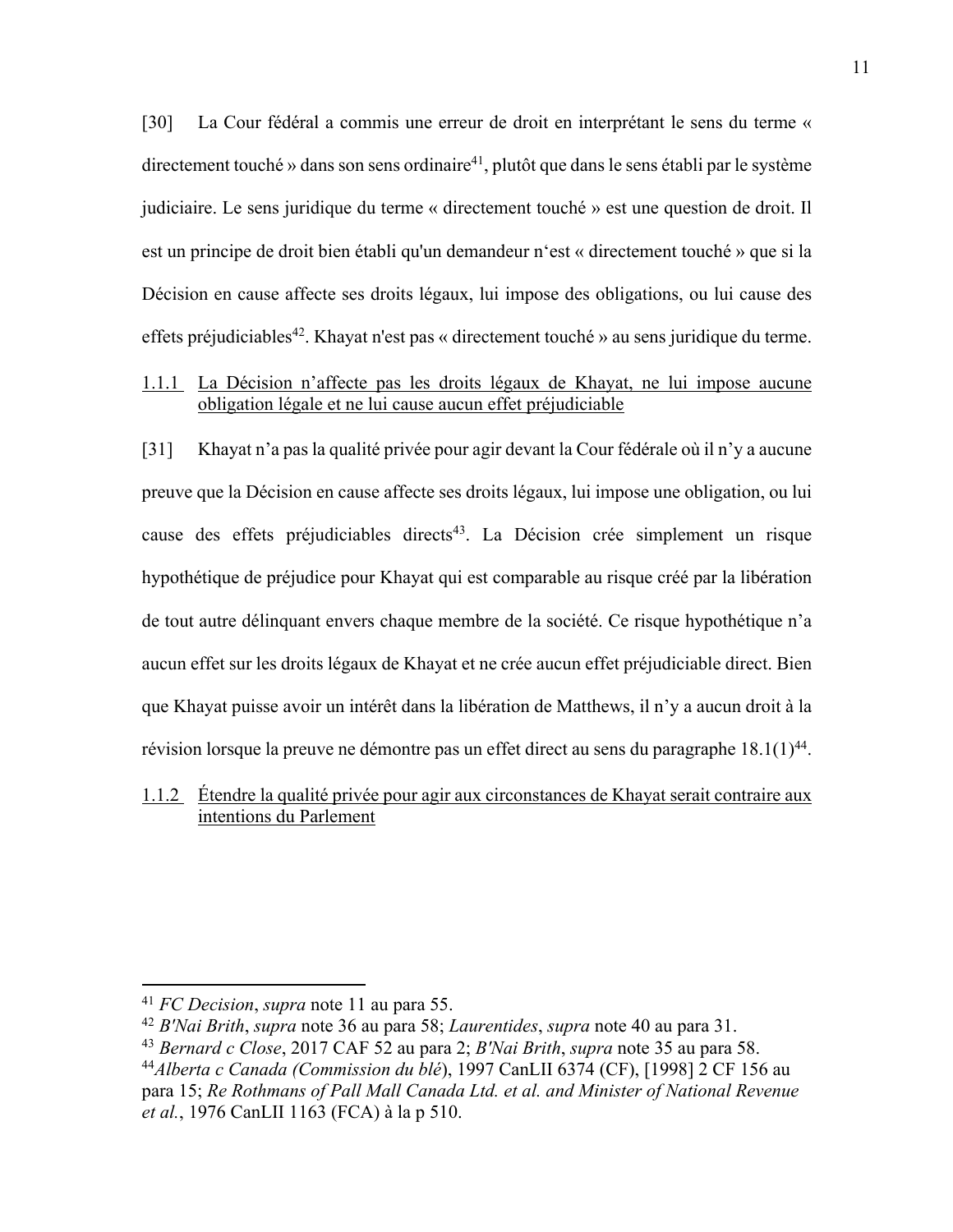[30] La Cour fédéral a commis une erreur de droit en interprétant le sens du terme « directement touché » dans son sens ordinaire<sup>41</sup>, plutôt que dans le sens établi par le système judiciaire. Le sens juridique du terme « directement touché » est une question de droit. Il est un principe de droit bien établi qu'un demandeur n'est « directement touché » que si la Décision en cause affecte ses droits légaux, lui impose des obligations, ou lui cause des effets préjudiciables<sup>42</sup>. Khayat n'est pas « directement touché » au sens juridique du terme.

## 1.1.1 La Décision n'affecte pas les droits légaux de Khayat, ne lui impose aucune obligation légale et ne lui cause aucun effet préjudiciable

[31] Khayat n'a pas la qualité privée pour agir devant la Cour fédérale où il n'y a aucune preuve que la Décision en cause affecte ses droits légaux, lui impose une obligation, ou lui cause des effets préjudiciables directs<sup>43</sup>. La Décision crée simplement un risque hypothétique de préjudice pour Khayat qui est comparable au risque créé par la libération de tout autre délinquant envers chaque membre de la société. Ce risque hypothétique n'a aucun effet sur les droits légaux de Khayat et ne crée aucun effet préjudiciable direct. Bien que Khayat puisse avoir un intérêt dans la libération de Matthews, il n'y a aucun droit à la révision lorsque la preuve ne démontre pas un effet direct au sens du paragraphe  $18.1(1)^{44}$ .

# 1.1.2 Étendre la qualité privée pour agir aux circonstances de Khayat serait contraire aux intentions du Parlement

<sup>41</sup> *FC Decision*, *supra* note 11 au para 55.

<sup>42</sup> *B'Nai Brith*, *supra* note 36 au para 58; *Laurentides*, *supra* note 40 au para 31.

<sup>43</sup> *Bernard c Close*, 2017 CAF 52 au para 2; *B'Nai Brith*, *supra* note 35 au para 58. <sup>44</sup>*Alberta c Canada (Commission du blé*), 1997 CanLII 6374 (CF), [1998] 2 CF 156 au para 15; *Re Rothmans of Pall Mall Canada Ltd. et al. and Minister of National Revenue et al.*, 1976 CanLII 1163 (FCA) à la p 510.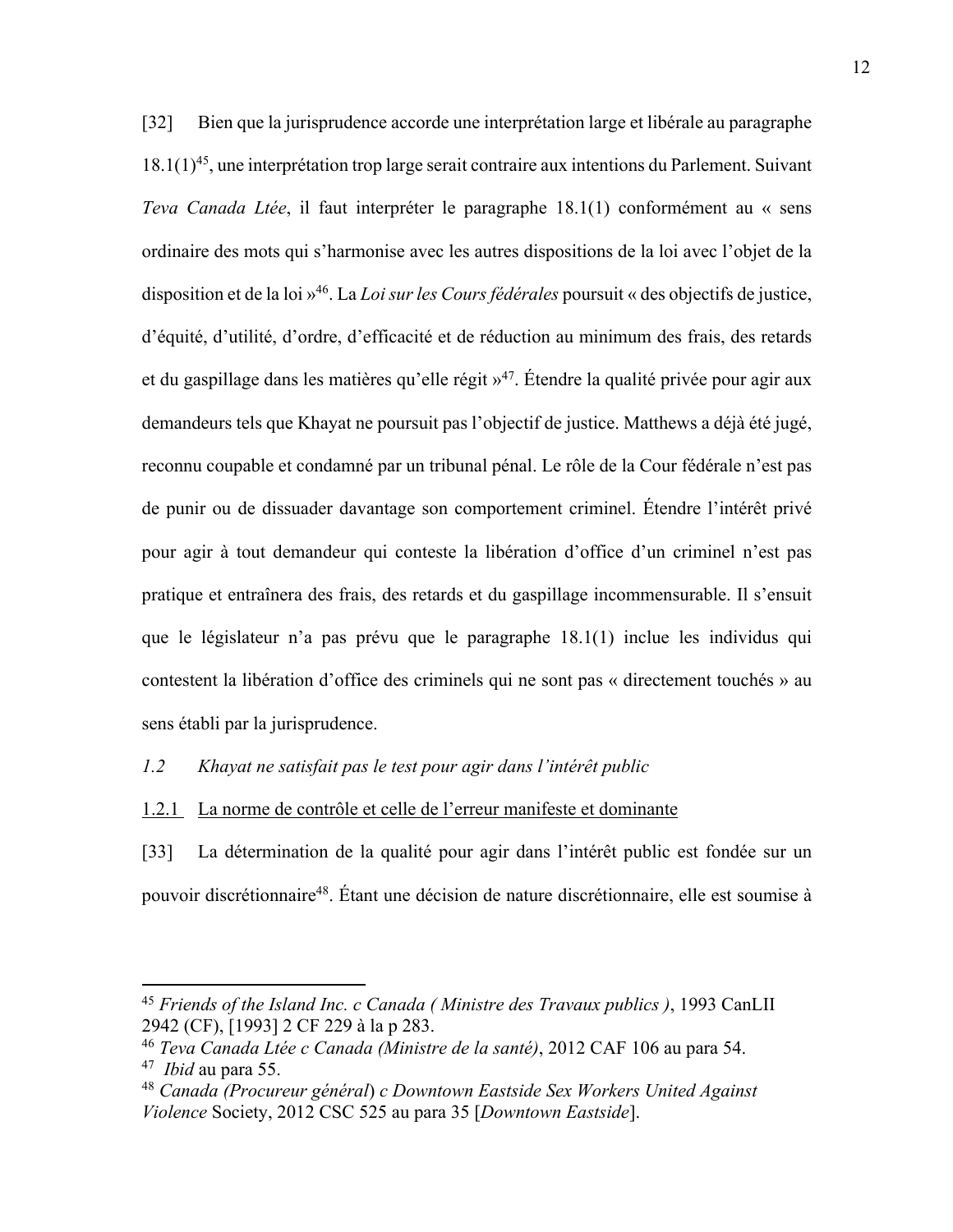[32] Bien que la jurisprudence accorde une interprétation large et libérale au paragraphe  $18.1(1)^{45}$ , une interprétation trop large serait contraire aux intentions du Parlement. Suivant *Teva Canada Ltée*, il faut interpréter le paragraphe 18.1(1) conformément au « sens ordinaire des mots qui s'harmonise avec les autres dispositions de la loi avec l'objet de la disposition et de la loi »46. La *Loi sur les Cours fédérales* poursuit « des objectifs de justice, d'équité, d'utilité, d'ordre, d'efficacité et de réduction au minimum des frais, des retards et du gaspillage dans les matières qu'elle régit »<sup>47</sup>. Étendre la qualité privée pour agir aux demandeurs tels que Khayat ne poursuit pas l'objectif de justice. Matthews a déjà été jugé, reconnu coupable et condamné par un tribunal pénal. Le rôle de la Cour fédérale n'est pas de punir ou de dissuader davantage son comportement criminel. Étendre l'intérêt privé pour agir à tout demandeur qui conteste la libération d'office d'un criminel n'est pas pratique et entraînera des frais, des retards et du gaspillage incommensurable. Il s'ensuit que le législateur n'a pas prévu que le paragraphe 18.1(1) inclue les individus qui contestent la libération d'office des criminels qui ne sont pas « directement touchés » au sens établi par la jurisprudence.

*1.2 Khayat ne satisfait pas le test pour agir dans l'intérêt public*

1.2.1 La norme de contrôle et celle de l'erreur manifeste et dominante

[33] La détermination de la qualité pour agir dans l'intérêt public est fondée sur un pouvoir discrétionnaire48. Étant une décision de nature discrétionnaire, elle est soumise à

<sup>45</sup> *Friends of the Island Inc. c Canada ( Ministre des Travaux publics )*, 1993 CanLII 2942 (CF), [1993] 2 CF 229 à la p 283.

<sup>46</sup> *Teva Canada Ltée c Canada (Ministre de la santé)*, 2012 CAF 106 au para 54. 47 *Ibid* au para 55.

<sup>48</sup> *Canada (Procureur général*) *c Downtown Eastside Sex Workers United Against Violence* Society, 2012 CSC 525 au para 35 [*Downtown Eastside*].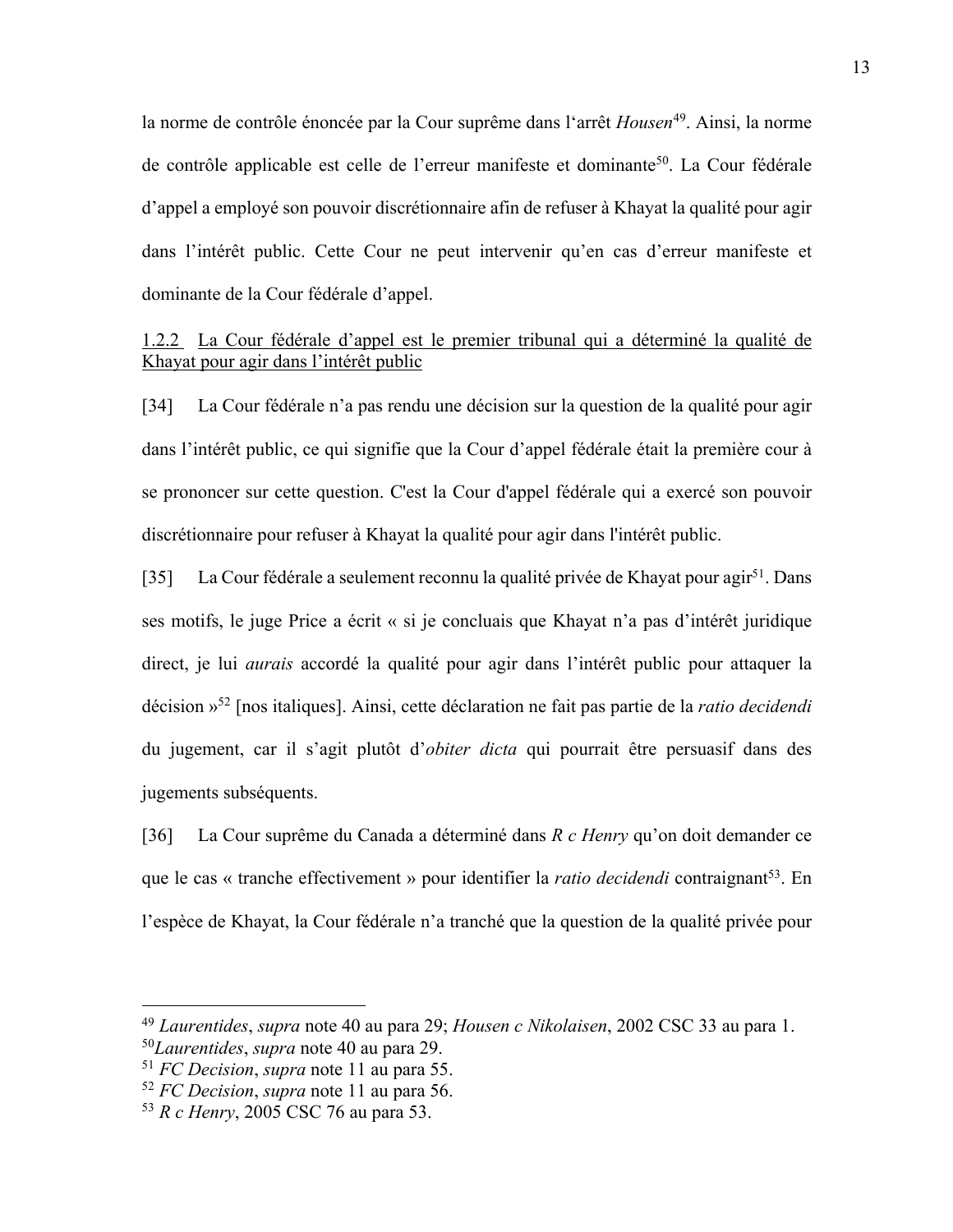la norme de contrôle énoncée par la Cour suprême dans l'arrêt *Housen*49. Ainsi, la norme de contrôle applicable est celle de l'erreur manifeste et dominante<sup>50</sup>. La Cour fédérale d'appel a employé son pouvoir discrétionnaire afin de refuser à Khayat la qualité pour agir dans l'intérêt public. Cette Cour ne peut intervenir qu'en cas d'erreur manifeste et dominante de la Cour fédérale d'appel.

# 1.2.2 La Cour fédérale d'appel est le premier tribunal qui a déterminé la qualité de Khayat pour agir dans l'intérêt public

[34] La Cour fédérale n'a pas rendu une décision sur la question de la qualité pour agir dans l'intérêt public, ce qui signifie que la Cour d'appel fédérale était la première cour à se prononcer sur cette question. C'est la Cour d'appel fédérale qui a exercé son pouvoir discrétionnaire pour refuser à Khayat la qualité pour agir dans l'intérêt public.

[35] La Cour fédérale a seulement reconnu la qualité privée de Khayat pour agir<sup>51</sup>. Dans ses motifs, le juge Price a écrit « si je concluais que Khayat n'a pas d'intérêt juridique direct, je lui *aurais* accordé la qualité pour agir dans l'intérêt public pour attaquer la décision »52 [nos italiques]. Ainsi, cette déclaration ne fait pas partie de la *ratio decidendi*  du jugement, car il s'agit plutôt d'*obiter dicta* qui pourrait être persuasif dans des jugements subséquents.

[36] La Cour suprême du Canada a déterminé dans *R c Henry* qu'on doit demander ce que le cas « tranche effectivement » pour identifier la *ratio decidendi* contraignant<sup>53</sup>. En l'espèce de Khayat, la Cour fédérale n'a tranché que la question de la qualité privée pour

<sup>49</sup> *Laurentides*, *supra* note 40 au para 29; *Housen c Nikolaisen*, 2002 CSC 33 au para 1. <sup>50</sup>*Laurentides*, *supra* note 40 au para 29.

<sup>51</sup> *FC Decision*, *supra* note 11 au para 55.

<sup>52</sup> *FC Decision*, *supra* note 11 au para 56.

<sup>53</sup> *R c Henry*, 2005 CSC 76 au para 53.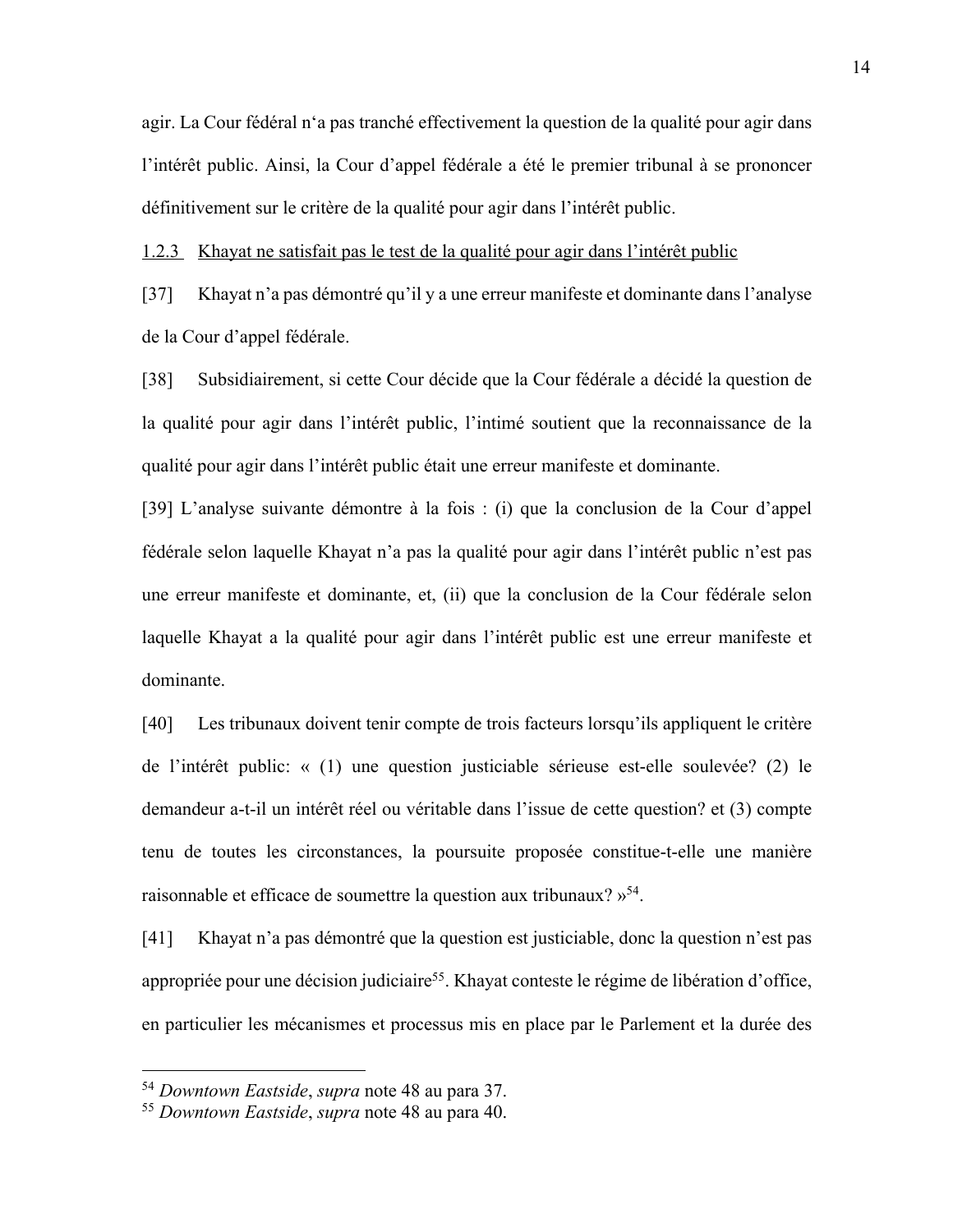agir. La Cour fédéral n'a pas tranché effectivement la question de la qualité pour agir dans l'intérêt public. Ainsi, la Cour d'appel fédérale a été le premier tribunal à se prononcer définitivement sur le critère de la qualité pour agir dans l'intérêt public.

1.2.3 Khayat ne satisfait pas le test de la qualité pour agir dans l'intérêt public

[37] Khayat n'a pas démontré qu'il y a une erreur manifeste et dominante dans l'analyse de la Cour d'appel fédérale.

[38] Subsidiairement, si cette Cour décide que la Cour fédérale a décidé la question de la qualité pour agir dans l'intérêt public, l'intimé soutient que la reconnaissance de la qualité pour agir dans l'intérêt public était une erreur manifeste et dominante.

[39] L'analyse suivante démontre à la fois : (i) que la conclusion de la Cour d'appel fédérale selon laquelle Khayat n'a pas la qualité pour agir dans l'intérêt public n'est pas une erreur manifeste et dominante, et, (ii) que la conclusion de la Cour fédérale selon laquelle Khayat a la qualité pour agir dans l'intérêt public est une erreur manifeste et dominante.

[40] Les tribunaux doivent tenir compte de trois facteurs lorsqu'ils appliquent le critère de l'intérêt public: « (1) une question justiciable sérieuse est-elle soulevée? (2) le demandeur a-t-il un intérêt réel ou véritable dans l'issue de cette question? et (3) compte tenu de toutes les circonstances, la poursuite proposée constitue-t-elle une manière raisonnable et efficace de soumettre la question aux tribunaux? »54.

[41] Khayat n'a pas démontré que la question est justiciable, donc la question n'est pas appropriée pour une décision judiciaire<sup>55</sup>. Khayat conteste le régime de libération d'office, en particulier les mécanismes et processus mis en place par le Parlement et la durée des

<sup>54</sup> *Downtown Eastside*, *supra* note 48 au para 37.

<sup>55</sup> *Downtown Eastside*, *supra* note 48 au para 40.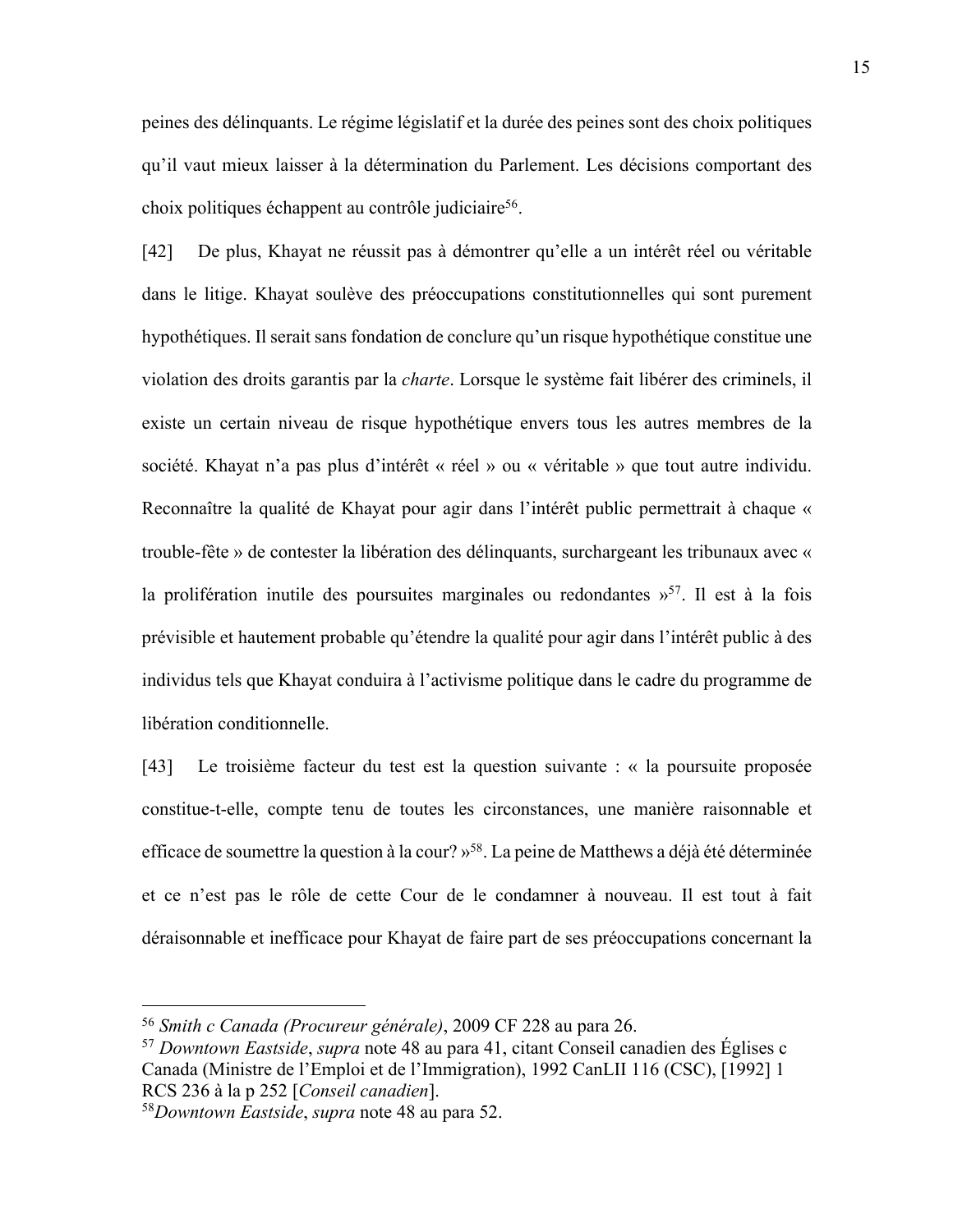peines des délinquants. Le régime législatif et la durée des peines sont des choix politiques qu'il vaut mieux laisser à la détermination du Parlement. Les décisions comportant des choix politiques échappent au contrôle judiciaire<sup>56</sup>.

[42] De plus, Khayat ne réussit pas à démontrer qu'elle a un intérêt réel ou véritable dans le litige. Khayat soulève des préoccupations constitutionnelles qui sont purement hypothétiques. Il serait sans fondation de conclure qu'un risque hypothétique constitue une violation des droits garantis par la *charte*. Lorsque le système fait libérer des criminels, il existe un certain niveau de risque hypothétique envers tous les autres membres de la société. Khayat n'a pas plus d'intérêt « réel » ou « véritable » que tout autre individu. Reconnaître la qualité de Khayat pour agir dans l'intérêt public permettrait à chaque « trouble-fête » de contester la libération des délinquants, surchargeant les tribunaux avec « la prolifération inutile des poursuites marginales ou redondantes  $v^{57}$ . Il est à la fois prévisible et hautement probable qu'étendre la qualité pour agir dans l'intérêt public à des individus tels que Khayat conduira à l'activisme politique dans le cadre du programme de libération conditionnelle.

[43] Le troisième facteur du test est la question suivante : « la poursuite proposée constitue-t-elle, compte tenu de toutes les circonstances, une manière raisonnable et efficace de soumettre la question à la cour? »58. La peine de Matthews a déjà été déterminée et ce n'est pas le rôle de cette Cour de le condamner à nouveau. Il est tout à fait déraisonnable et inefficace pour Khayat de faire part de ses préoccupations concernant la

<sup>56</sup> *Smith c Canada (Procureur générale)*, 2009 CF 228 au para 26.

<sup>57</sup> *Downtown Eastside*, *supra* note 48 au para 41, citant Conseil canadien des Églises c Canada (Ministre de l'Emploi et de l'Immigration), 1992 CanLII 116 (CSC), [1992] 1 RCS 236 à la p 252 [*Conseil canadien*].

<sup>58</sup>*Downtown Eastside*, *supra* note 48 au para 52.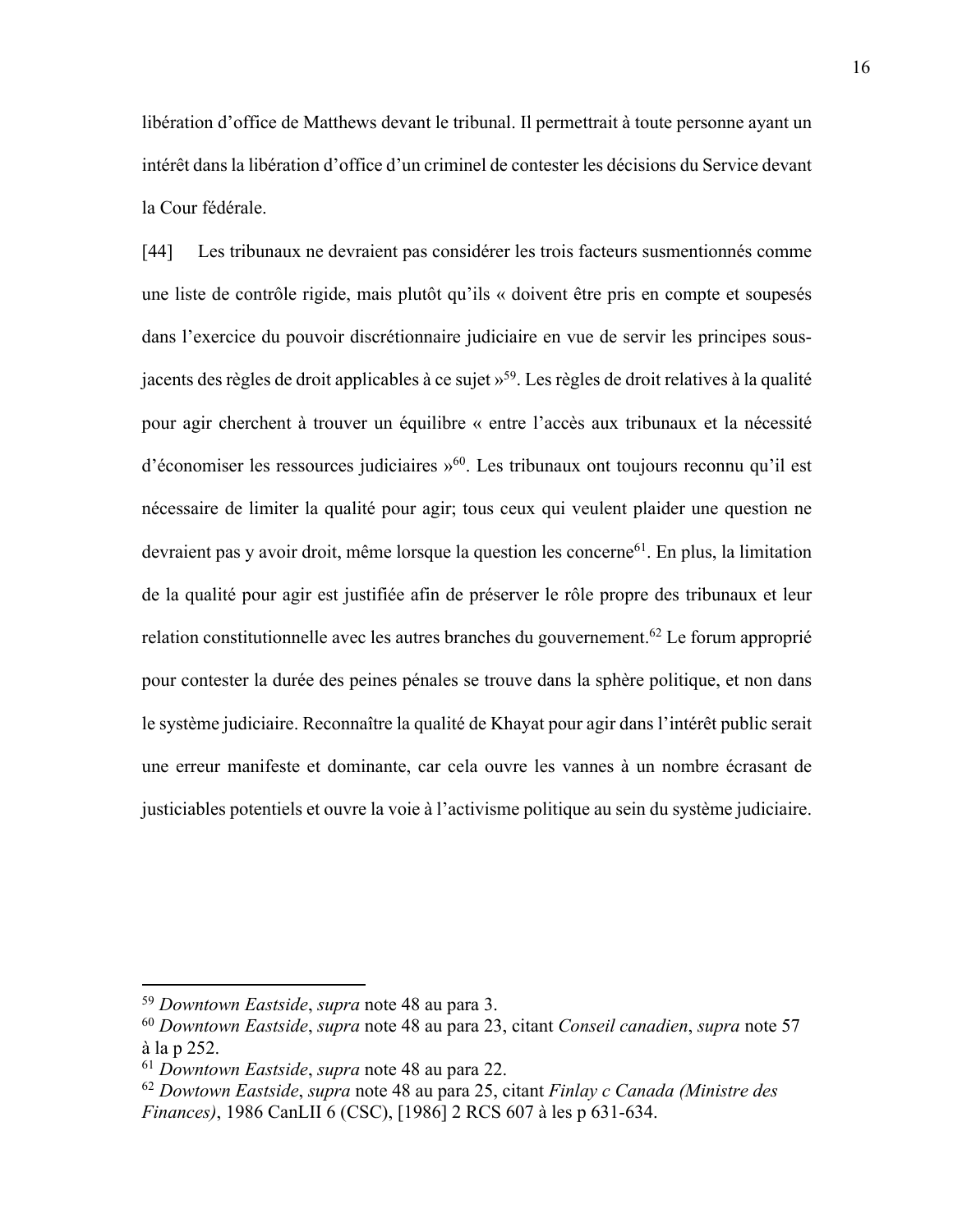libération d'office de Matthews devant le tribunal. Il permettrait à toute personne ayant un intérêt dans la libération d'office d'un criminel de contester les décisions du Service devant la Cour fédérale.

[44] Les tribunaux ne devraient pas considérer les trois facteurs susmentionnés comme une liste de contrôle rigide, mais plutôt qu'ils « doivent être pris en compte et soupesés dans l'exercice du pouvoir discrétionnaire judiciaire en vue de servir les principes sousjacents des règles de droit applicables à ce sujet »59. Les règles de droit relatives à la qualité pour agir cherchent à trouver un équilibre « entre l'accès aux tribunaux et la nécessité d'économiser les ressources judiciaires »<sup>60</sup>. Les tribunaux ont toujours reconnu qu'il est nécessaire de limiter la qualité pour agir; tous ceux qui veulent plaider une question ne devraient pas y avoir droit, même lorsque la question les concerne<sup>61</sup>. En plus, la limitation de la qualité pour agir est justifiée afin de préserver le rôle propre des tribunaux et leur relation constitutionnelle avec les autres branches du gouvernement.<sup>62</sup> Le forum approprié pour contester la durée des peines pénales se trouve dans la sphère politique, et non dans le système judiciaire. Reconnaître la qualité de Khayat pour agir dans l'intérêt public serait une erreur manifeste et dominante, car cela ouvre les vannes à un nombre écrasant de justiciables potentiels et ouvre la voie à l'activisme politique au sein du système judiciaire.

<sup>59</sup> *Downtown Eastside*, *supra* note 48 au para 3.

<sup>60</sup> *Downtown Eastside*, *supra* note 48 au para 23, citant *Conseil canadien*, *supra* note 57 à la p 252.

<sup>61</sup> *Downtown Eastside*, *supra* note 48 au para 22.

<sup>62</sup> *Dowtown Eastside*, *supra* note 48 au para 25, citant *Finlay c Canada (Ministre des Finances)*, 1986 CanLII 6 (CSC), [1986] 2 RCS 607 à les p 631-634.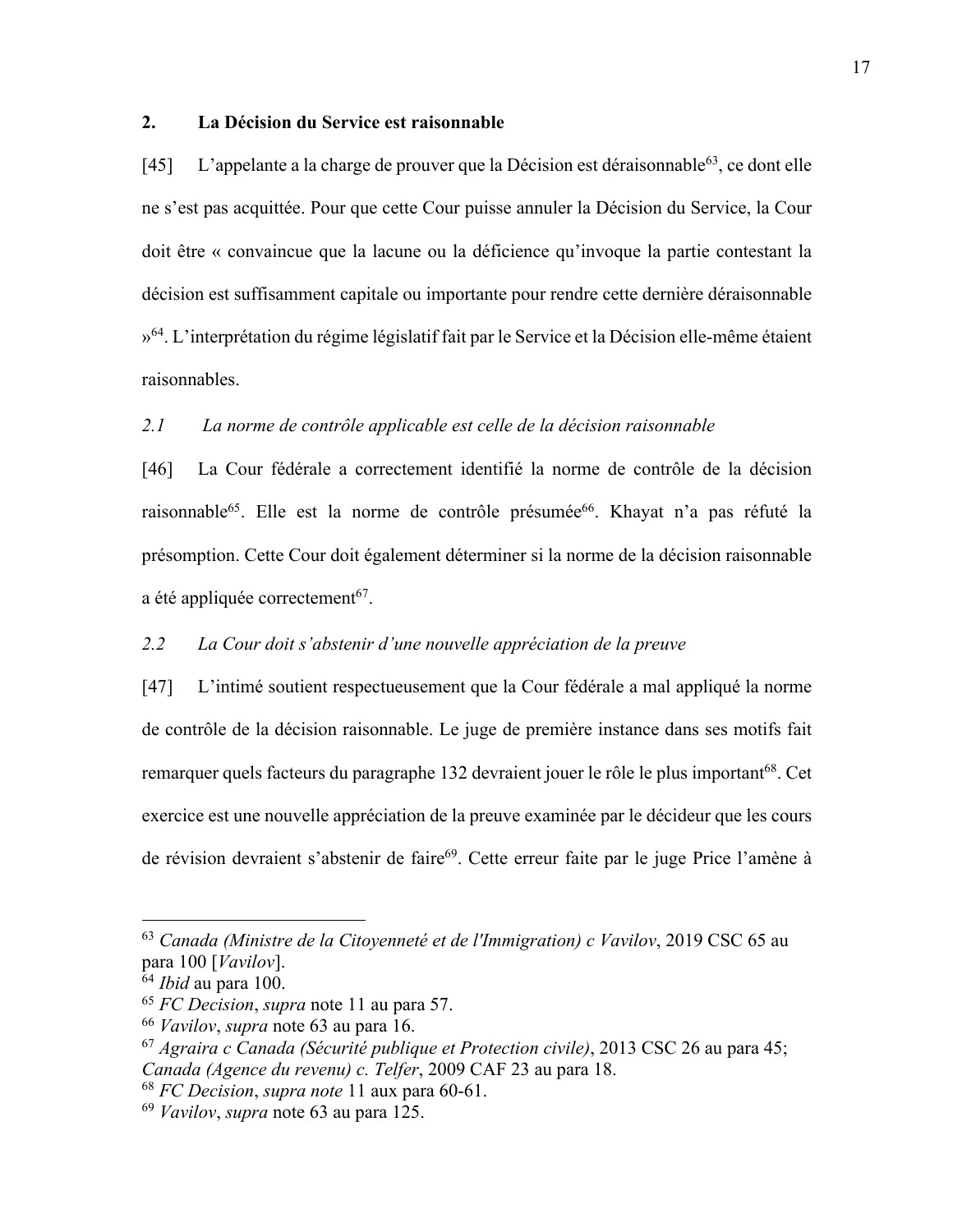#### **2. La Décision du Service est raisonnable**

[45] L'appelante a la charge de prouver que la Décision est déraisonnable<sup>63</sup>, ce dont elle ne s'est pas acquittée. Pour que cette Cour puisse annuler la Décision du Service, la Cour doit être « convaincue que la lacune ou la déficience qu'invoque la partie contestant la décision est suffisamment capitale ou importante pour rendre cette dernière déraisonnable »<sup>64</sup>. L'interprétation du régime législatif fait par le Service et la Décision elle-même étaient raisonnables.

### *2.1 La norme de contrôle applicable est celle de la décision raisonnable*

[46] La Cour fédérale a correctement identifié la norme de contrôle de la décision raisonnable<sup>65</sup>. Elle est la norme de contrôle présumée<sup>66</sup>. Khayat n'a pas réfuté la présomption. Cette Cour doit également déterminer si la norme de la décision raisonnable a été appliquée correctement<sup>67</sup>.

## *2.2 La Cour doit s'abstenir d'une nouvelle appréciation de la preuve*

[47] L'intimé soutient respectueusement que la Cour fédérale a mal appliqué la norme de contrôle de la décision raisonnable. Le juge de première instance dans ses motifs fait remarquer quels facteurs du paragraphe 132 devraient jouer le rôle le plus important<sup>68</sup>. Cet exercice est une nouvelle appréciation de la preuve examinée par le décideur que les cours de révision devraient s'abstenir de faire<sup>69</sup>. Cette erreur faite par le juge Price l'amène à

<sup>63</sup> *Canada (Ministre de la Citoyenneté et de l'Immigration) c Vavilov*, 2019 CSC 65 au para 100 [*Vavilov*].

<sup>64</sup> *Ibid* au para 100.

<sup>65</sup> *FC Decision*, *supra* note 11 au para 57.

<sup>66</sup> *Vavilov*, *supra* note 63 au para 16.

<sup>67</sup> *Agraira c Canada (Sécurité publique et Protection civile)*, 2013 CSC 26 au para 45; *Canada (Agence du revenu) c. Telfer*, 2009 CAF 23 au para 18.

<sup>68</sup> *FC Decision*, *supra note* 11 aux para 60-61.

<sup>69</sup> *Vavilov*, *supra* note 63 au para 125.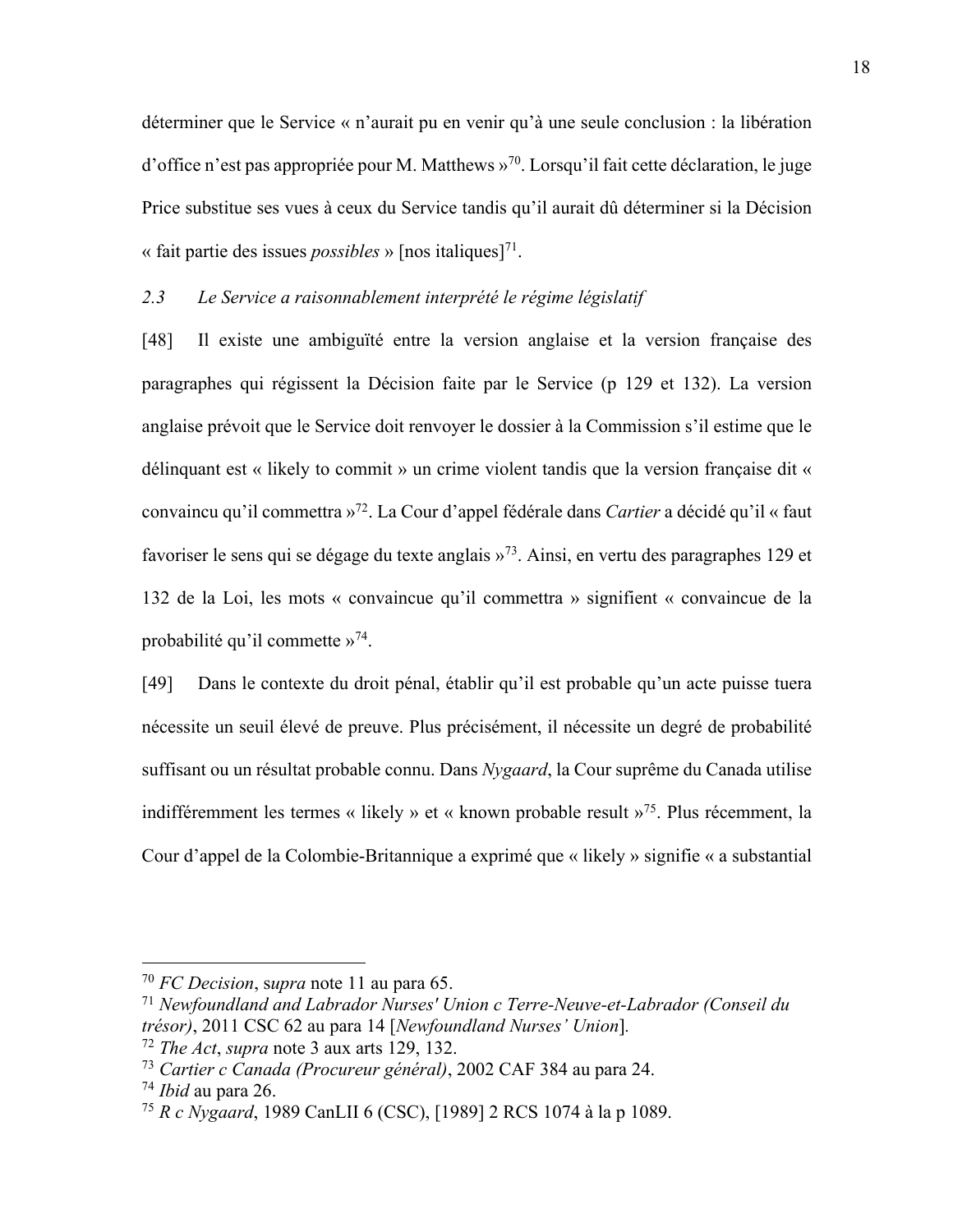déterminer que le Service « n'aurait pu en venir qu'à une seule conclusion : la libération d'office n'est pas appropriée pour M. Matthews »70. Lorsqu'il fait cette déclaration, le juge Price substitue ses vues à ceux du Service tandis qu'il aurait dû déterminer si la Décision « fait partie des issues *possibles* » [nos italiques]<sup>71</sup>.

#### *2.3 Le Service a raisonnablement interprété le régime législatif*

[48] Il existe une ambiguïté entre la version anglaise et la version française des paragraphes qui régissent la Décision faite par le Service (p 129 et 132). La version anglaise prévoit que le Service doit renvoyer le dossier à la Commission s'il estime que le délinquant est « likely to commit » un crime violent tandis que la version française dit « convaincu qu'il commettra »72. La Cour d'appel fédérale dans *Cartier* a décidé qu'il « faut favoriser le sens qui se dégage du texte anglais »73. Ainsi, en vertu des paragraphes 129 et 132 de la Loi, les mots « convaincue qu'il commettra » signifient « convaincue de la probabilité qu'il commette »74.

[49] Dans le contexte du droit pénal, établir qu'il est probable qu'un acte puisse tuera nécessite un seuil élevé de preuve. Plus précisément, il nécessite un degré de probabilité suffisant ou un résultat probable connu. Dans *Nygaard*, la Cour suprême du Canada utilise indifféremment les termes « likely » et « known probable result »75. Plus récemment, la Cour d'appel de la Colombie-Britannique a exprimé que « likely » signifie « a substantial

<sup>70</sup> *FC Decision*, s*upra* note 11 au para 65.

<sup>71</sup> *Newfoundland and Labrador Nurses' Union c Terre-Neuve-et-Labrador (Conseil du trésor)*, 2011 CSC 62 au para 14 [*Newfoundland Nurses' Union*]*.*

<sup>72</sup> *The Act*, *supra* note 3 aux arts 129, 132.

<sup>73</sup> *Cartier c Canada (Procureur général)*, 2002 CAF 384 au para 24.

<sup>74</sup> *Ibid* au para 26.

<sup>75</sup> *R c Nygaard*, 1989 CanLII 6 (CSC), [1989] 2 RCS 1074 à la p 1089.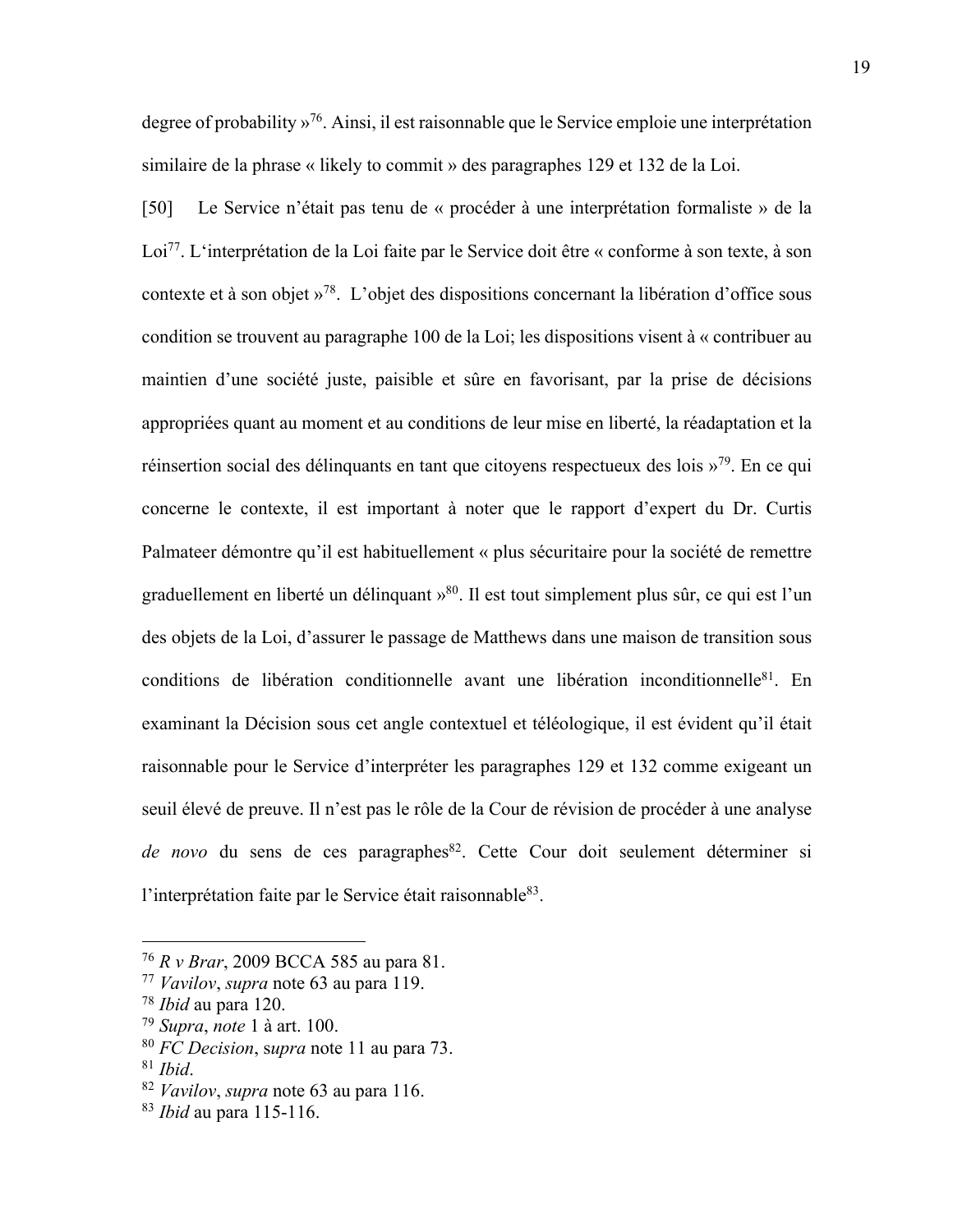degree of probability »<sup>76</sup>. Ainsi, il est raisonnable que le Service emploie une interprétation similaire de la phrase « likely to commit » des paragraphes 129 et 132 de la Loi.

[50] Le Service n'était pas tenu de « procéder à une interprétation formaliste » de la Loi<sup>77</sup>. L'interprétation de la Loi faite par le Service doit être « conforme à son texte, à son contexte et à son objet »78. L'objet des dispositions concernant la libération d'office sous condition se trouvent au paragraphe 100 de la Loi; les dispositions visent à « contribuer au maintien d'une société juste, paisible et sûre en favorisant, par la prise de décisions appropriées quant au moment et au conditions de leur mise en liberté, la réadaptation et la réinsertion social des délinquants en tant que citoyens respectueux des lois »79. En ce qui concerne le contexte, il est important à noter que le rapport d'expert du Dr. Curtis Palmateer démontre qu'il est habituellement « plus sécuritaire pour la société de remettre graduellement en liberté un délinquant »80. Il est tout simplement plus sûr, ce qui est l'un des objets de la Loi, d'assurer le passage de Matthews dans une maison de transition sous conditions de libération conditionnelle avant une libération inconditionnelle<sup>81</sup>. En examinant la Décision sous cet angle contextuel et téléologique, il est évident qu'il était raisonnable pour le Service d'interpréter les paragraphes 129 et 132 comme exigeant un seuil élevé de preuve. Il n'est pas le rôle de la Cour de révision de procéder à une analyse de novo du sens de ces paragraphes<sup>82</sup>. Cette Cour doit seulement déterminer si l'interprétation faite par le Service était raisonnable<sup>83</sup>.

<sup>76</sup> *R v Brar*, 2009 BCCA 585 au para 81.

<sup>77</sup> *Vavilov*, *supra* note 63 au para 119.

<sup>78</sup> *Ibid* au para 120.

<sup>79</sup> *Supra*, *note* 1 à art. 100.

<sup>80</sup> *FC Decision*, s*upra* note 11 au para 73.

<sup>81</sup> *Ibid*.

<sup>82</sup> *Vavilov*, *supra* note 63 au para 116.

<sup>83</sup> *Ibid* au para 115-116.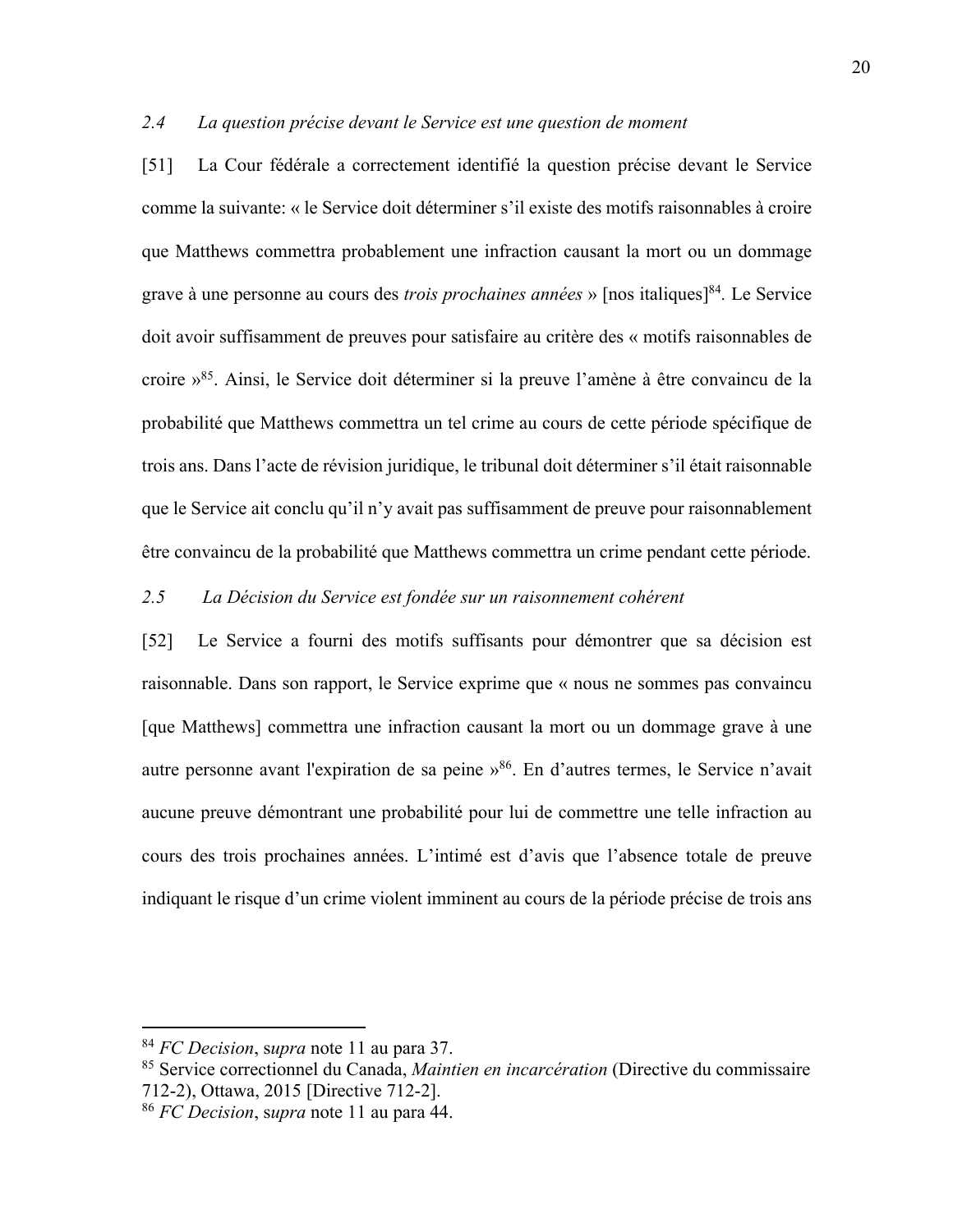#### *2.4 La question précise devant le Service est une question de moment*

[51] La Cour fédérale a correctement identifié la question précise devant le Service comme la suivante: « le Service doit déterminer s'il existe des motifs raisonnables à croire que Matthews commettra probablement une infraction causant la mort ou un dommage grave à une personne au cours des *trois prochaines années* » [nos italiques]84*.* Le Service doit avoir suffisamment de preuves pour satisfaire au critère des « motifs raisonnables de croire »85. Ainsi, le Service doit déterminer si la preuve l'amène à être convaincu de la probabilité que Matthews commettra un tel crime au cours de cette période spécifique de trois ans. Dans l'acte de révision juridique, le tribunal doit déterminer s'il était raisonnable que le Service ait conclu qu'il n'y avait pas suffisamment de preuve pour raisonnablement être convaincu de la probabilité que Matthews commettra un crime pendant cette période.

### *2.5 La Décision du Service est fondée sur un raisonnement cohérent*

[52] Le Service a fourni des motifs suffisants pour démontrer que sa décision est raisonnable. Dans son rapport, le Service exprime que « nous ne sommes pas convaincu [que Matthews] commettra une infraction causant la mort ou un dommage grave à une autre personne avant l'expiration de sa peine »86. En d'autres termes, le Service n'avait aucune preuve démontrant une probabilité pour lui de commettre une telle infraction au cours des trois prochaines années. L'intimé est d'avis que l'absence totale de preuve indiquant le risque d'un crime violent imminent au cours de la période précise de trois ans

<sup>84</sup> *FC Decision*, s*upra* note 11 au para 37.

<sup>85</sup> Service correctionnel du Canada, *Maintien en incarcération* (Directive du commissaire 712-2), Ottawa, 2015 [Directive 712-2].

<sup>86</sup> *FC Decision*, s*upra* note 11 au para 44.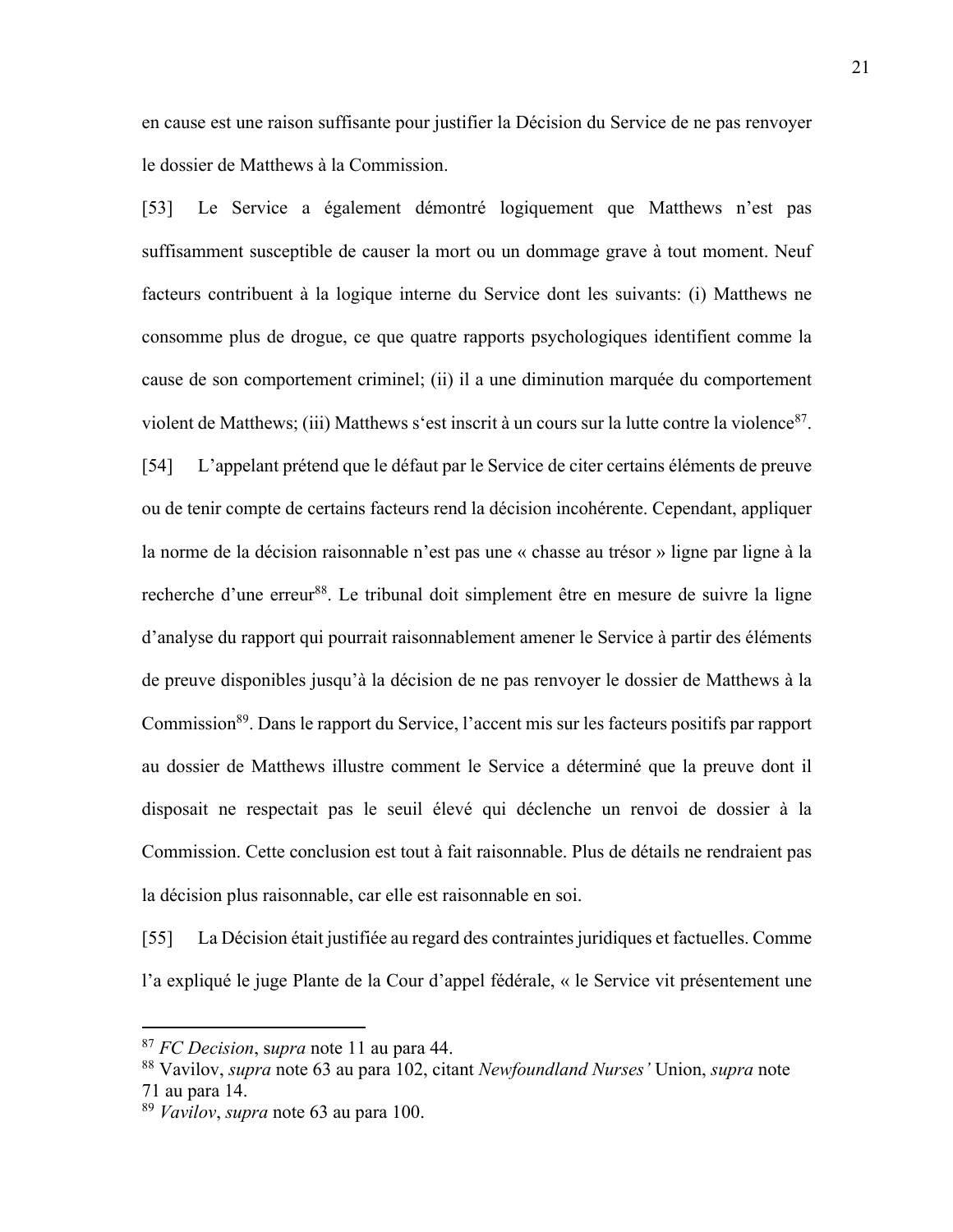en cause est une raison suffisante pour justifier la Décision du Service de ne pas renvoyer le dossier de Matthews à la Commission.

[53] Le Service a également démontré logiquement que Matthews n'est pas suffisamment susceptible de causer la mort ou un dommage grave à tout moment. Neuf facteurs contribuent à la logique interne du Service dont les suivants: (i) Matthews ne consomme plus de drogue, ce que quatre rapports psychologiques identifient comme la cause de son comportement criminel; (ii) il a une diminution marquée du comportement violent de Matthews; (iii) Matthews s'est inscrit à un cours sur la lutte contre la violence  $87$ .

[54] L'appelant prétend que le défaut par le Service de citer certains éléments de preuve ou de tenir compte de certains facteurs rend la décision incohérente. Cependant, appliquer la norme de la décision raisonnable n'est pas une « chasse au trésor » ligne par ligne à la recherche d'une erreur<sup>88</sup>. Le tribunal doit simplement être en mesure de suivre la ligne d'analyse du rapport qui pourrait raisonnablement amener le Service à partir des éléments de preuve disponibles jusqu'à la décision de ne pas renvoyer le dossier de Matthews à la Commission89. Dans le rapport du Service, l'accent mis sur les facteurs positifs par rapport au dossier de Matthews illustre comment le Service a déterminé que la preuve dont il disposait ne respectait pas le seuil élevé qui déclenche un renvoi de dossier à la Commission. Cette conclusion est tout à fait raisonnable. Plus de détails ne rendraient pas la décision plus raisonnable, car elle est raisonnable en soi.

[55] La Décision était justifiée au regard des contraintes juridiques et factuelles. Comme l'a expliqué le juge Plante de la Cour d'appel fédérale, « le Service vit présentement une

<sup>87</sup> *FC Decision*, s*upra* note 11 au para 44.

<sup>88</sup> Vavilov, *supra* note 63 au para 102, citant *Newfoundland Nurses'* Union, *supra* note 71 au para 14.

<sup>89</sup> *Vavilov*, *supra* note 63 au para 100.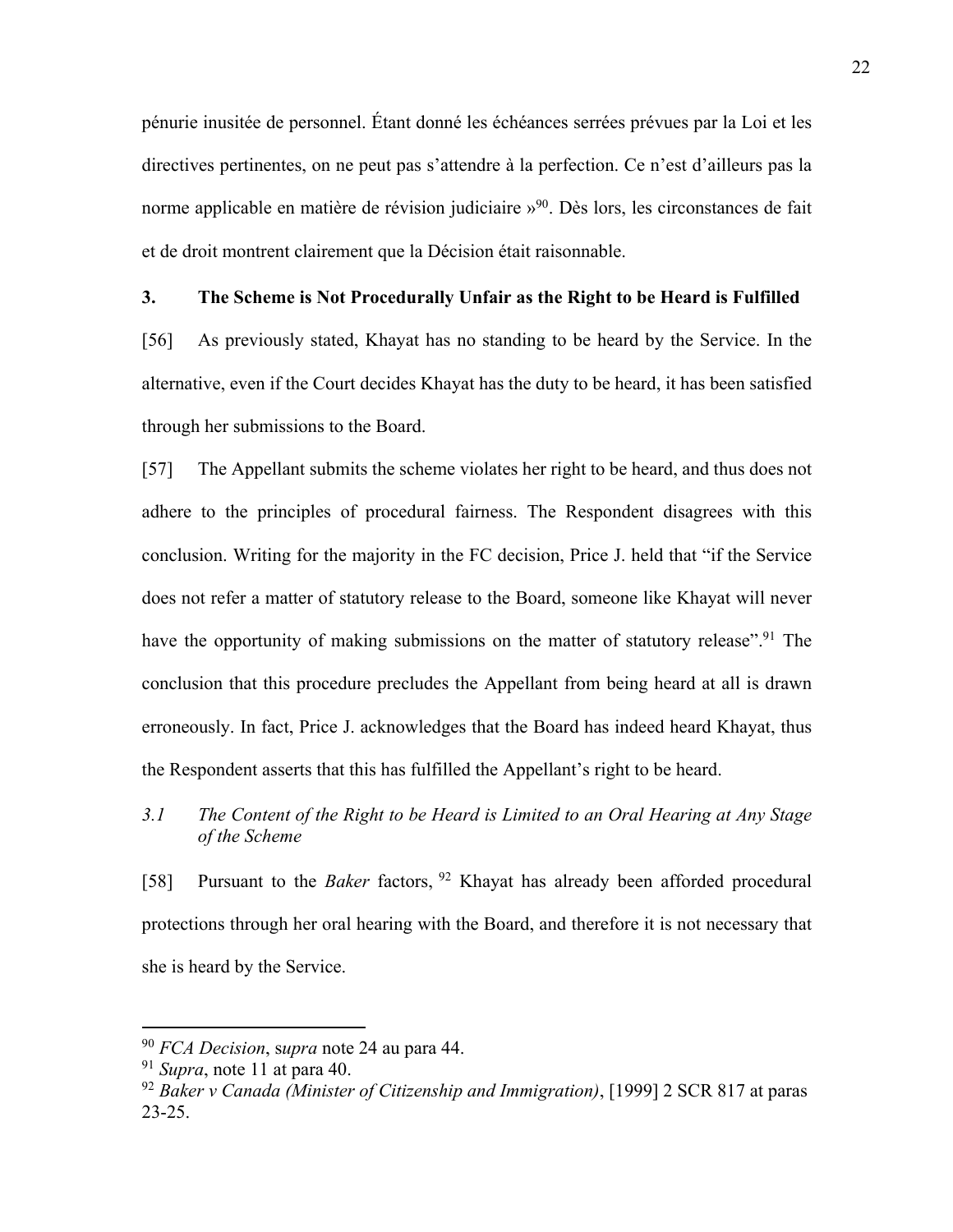pénurie inusitée de personnel. Étant donné les échéances serrées prévues par la Loi et les directives pertinentes, on ne peut pas s'attendre à la perfection. Ce n'est d'ailleurs pas la norme applicable en matière de révision judiciaire »<sup>90</sup>. Dès lors, les circonstances de fait et de droit montrent clairement que la Décision était raisonnable.

#### **3. The Scheme is Not Procedurally Unfair as the Right to be Heard is Fulfilled**

[56] As previously stated, Khayat has no standing to be heard by the Service. In the alternative, even if the Court decides Khayat has the duty to be heard, it has been satisfied through her submissions to the Board.

[57] The Appellant submits the scheme violates her right to be heard, and thus does not adhere to the principles of procedural fairness. The Respondent disagrees with this conclusion. Writing for the majority in the FC decision, Price J. held that "if the Service does not refer a matter of statutory release to the Board, someone like Khayat will never have the opportunity of making submissions on the matter of statutory release".<sup>91</sup> The conclusion that this procedure precludes the Appellant from being heard at all is drawn erroneously. In fact, Price J. acknowledges that the Board has indeed heard Khayat, thus the Respondent asserts that this has fulfilled the Appellant's right to be heard.

# *3.1 The Content of the Right to be Heard is Limited to an Oral Hearing at Any Stage of the Scheme*

[58] Pursuant to the *Baker* factors, <sup>92</sup> Khayat has already been afforded procedural protections through her oral hearing with the Board, and therefore it is not necessary that she is heard by the Service.

<sup>90</sup> *FCA Decision*, s*upra* note 24 au para 44.

<sup>91</sup> *Supra*, note 11 at para 40.

<sup>92</sup> *Baker v Canada (Minister of Citizenship and Immigration)*, [1999] 2 SCR 817 at paras 23-25.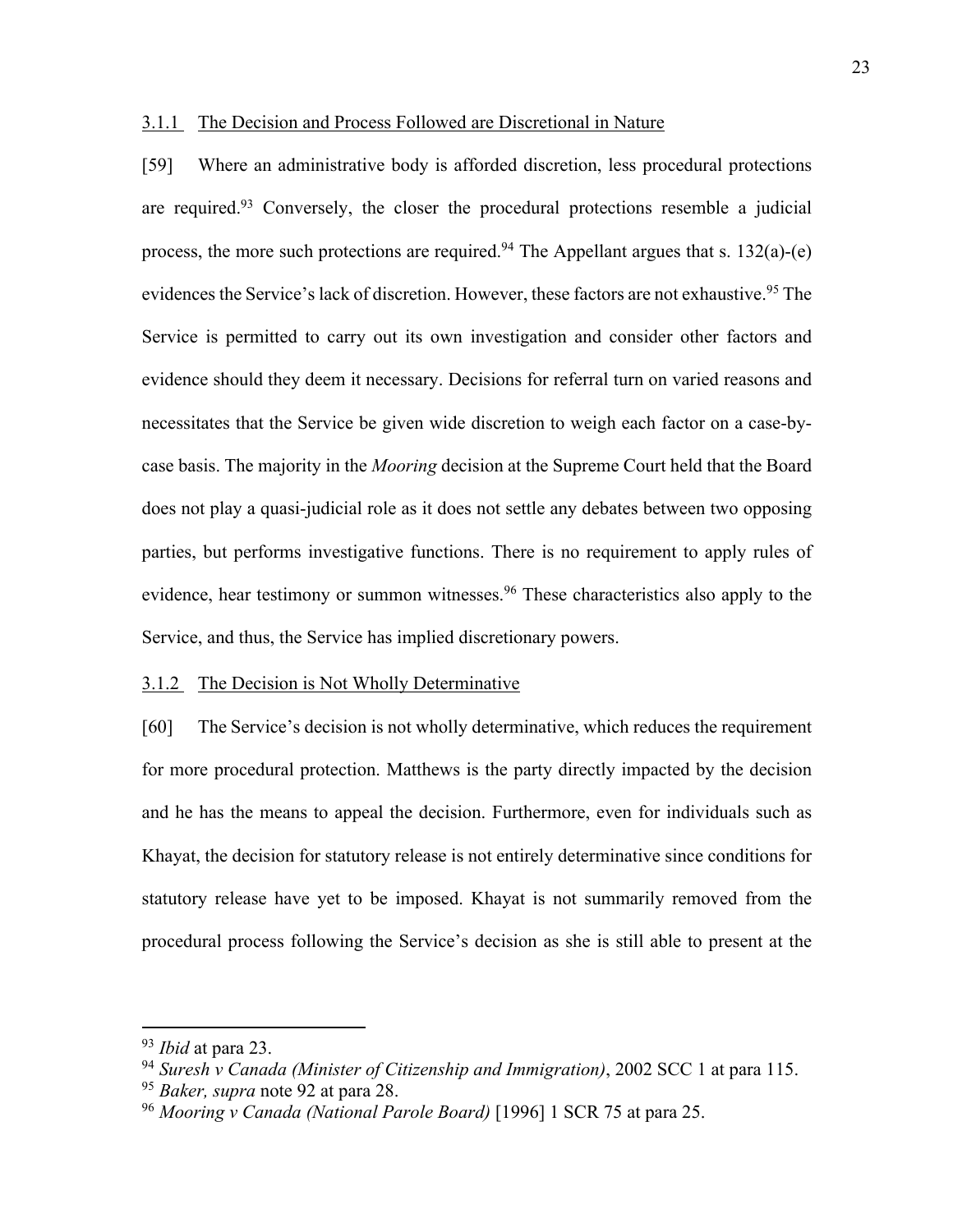### 3.1.1 The Decision and Process Followed are Discretional in Nature

[59] Where an administrative body is afforded discretion, less procedural protections are required.<sup>93</sup> Conversely, the closer the procedural protections resemble a judicial process, the more such protections are required.<sup>94</sup> The Appellant argues that s. 132(a)-(e) evidences the Service's lack of discretion. However, these factors are not exhaustive.<sup>95</sup> The Service is permitted to carry out its own investigation and consider other factors and evidence should they deem it necessary. Decisions for referral turn on varied reasons and necessitates that the Service be given wide discretion to weigh each factor on a case-bycase basis. The majority in the *Mooring* decision at the Supreme Court held that the Board does not play a quasi-judicial role as it does not settle any debates between two opposing parties, but performs investigative functions. There is no requirement to apply rules of evidence, hear testimony or summon witnesses.<sup>96</sup> These characteristics also apply to the Service, and thus, the Service has implied discretionary powers.

#### 3.1.2 The Decision is Not Wholly Determinative

[60] The Service's decision is not wholly determinative, which reduces the requirement for more procedural protection. Matthews is the party directly impacted by the decision and he has the means to appeal the decision. Furthermore, even for individuals such as Khayat, the decision for statutory release is not entirely determinative since conditions for statutory release have yet to be imposed. Khayat is not summarily removed from the procedural process following the Service's decision as she is still able to present at the

<sup>93</sup> *Ibid* at para 23.

<sup>94</sup> *Suresh v Canada (Minister of Citizenship and Immigration)*, 2002 SCC 1 at para 115.

<sup>95</sup> *Baker, supra* note 92 at para 28.

<sup>96</sup> *Mooring v Canada (National Parole Board)* [1996] 1 SCR 75 at para 25.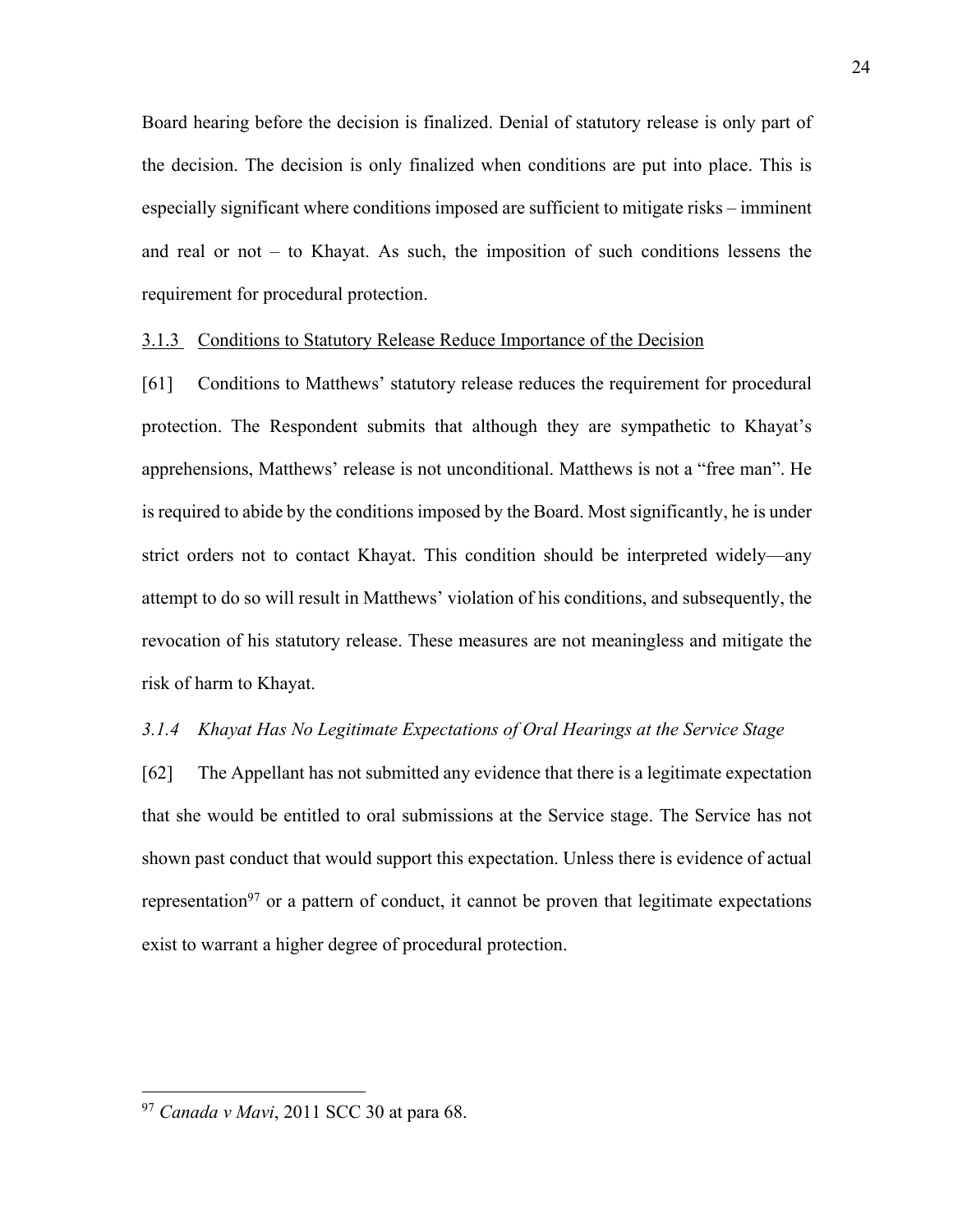Board hearing before the decision is finalized. Denial of statutory release is only part of the decision. The decision is only finalized when conditions are put into place. This is especially significant where conditions imposed are sufficient to mitigate risks – imminent and real or not – to Khayat. As such, the imposition of such conditions lessens the requirement for procedural protection.

#### 3.1.3 Conditions to Statutory Release Reduce Importance of the Decision

[61] Conditions to Matthews' statutory release reduces the requirement for procedural protection. The Respondent submits that although they are sympathetic to Khayat's apprehensions, Matthews' release is not unconditional. Matthews is not a "free man". He is required to abide by the conditions imposed by the Board. Most significantly, he is under strict orders not to contact Khayat. This condition should be interpreted widely—any attempt to do so will result in Matthews' violation of his conditions, and subsequently, the revocation of his statutory release. These measures are not meaningless and mitigate the risk of harm to Khayat.

#### *3.1.4 Khayat Has No Legitimate Expectations of Oral Hearings at the Service Stage*

[62] The Appellant has not submitted any evidence that there is a legitimate expectation that she would be entitled to oral submissions at the Service stage. The Service has not shown past conduct that would support this expectation. Unless there is evidence of actual representation<sup>97</sup> or a pattern of conduct, it cannot be proven that legitimate expectations exist to warrant a higher degree of procedural protection.

<sup>24</sup>

<sup>97</sup> *Canada v Mavi*, 2011 SCC 30 at para 68.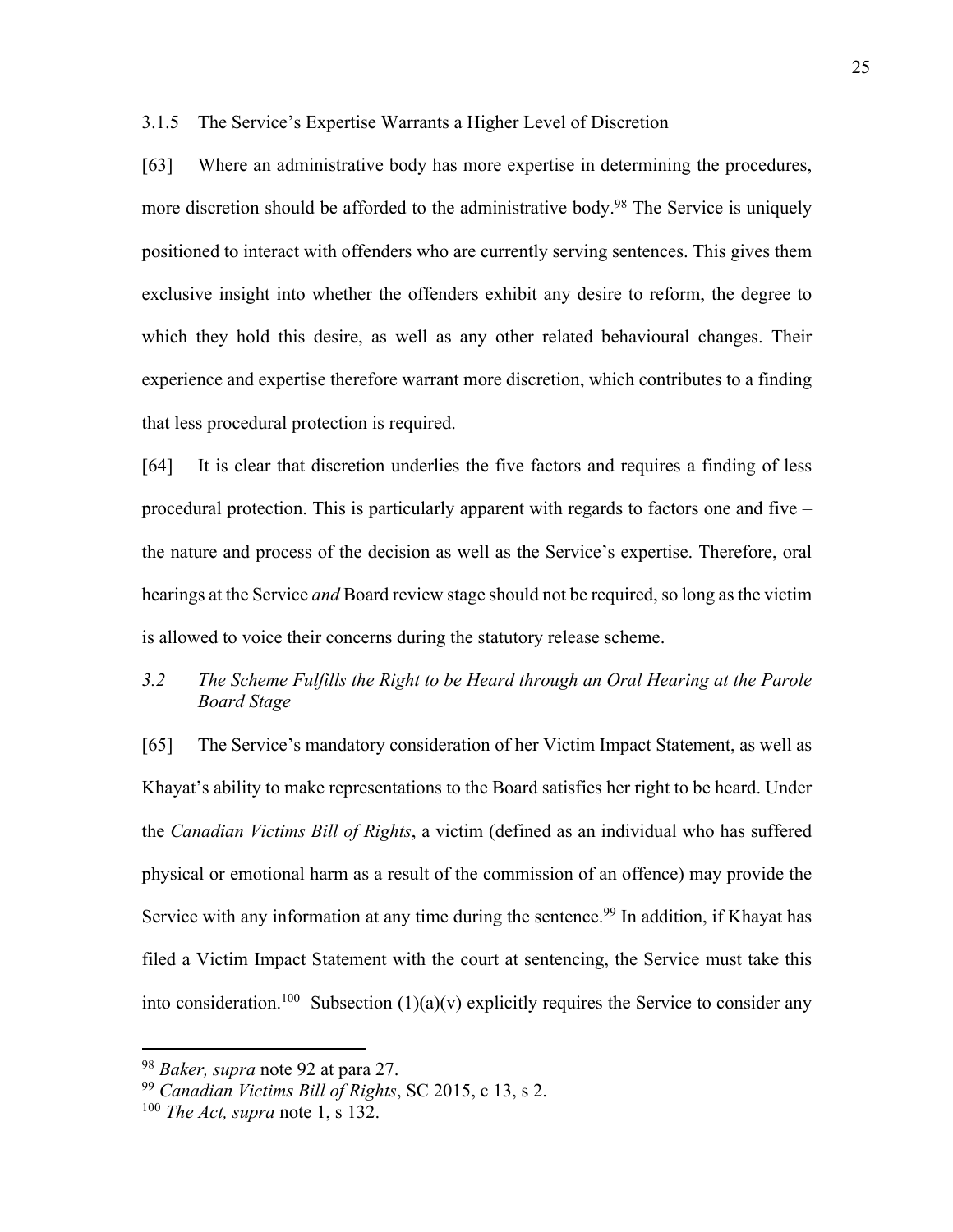#### 3.1.5 The Service's Expertise Warrants a Higher Level of Discretion

[63] Where an administrative body has more expertise in determining the procedures, more discretion should be afforded to the administrative body.<sup>98</sup> The Service is uniquely positioned to interact with offenders who are currently serving sentences. This gives them exclusive insight into whether the offenders exhibit any desire to reform, the degree to which they hold this desire, as well as any other related behavioural changes. Their experience and expertise therefore warrant more discretion, which contributes to a finding that less procedural protection is required.

[64] It is clear that discretion underlies the five factors and requires a finding of less procedural protection. This is particularly apparent with regards to factors one and five – the nature and process of the decision as well as the Service's expertise. Therefore, oral hearings at the Service *and* Board review stage should not be required, so long as the victim is allowed to voice their concerns during the statutory release scheme.

# *3.2 The Scheme Fulfills the Right to be Heard through an Oral Hearing at the Parole Board Stage*

[65] The Service's mandatory consideration of her Victim Impact Statement, as well as Khayat's ability to make representations to the Board satisfies her right to be heard. Under the *Canadian Victims Bill of Rights*, a victim (defined as an individual who has suffered physical or emotional harm as a result of the commission of an offence) may provide the Service with any information at any time during the sentence.<sup>99</sup> In addition, if Khayat has filed a Victim Impact Statement with the court at sentencing, the Service must take this into consideration.<sup>100</sup> Subsection  $(1)(a)(v)$  explicitly requires the Service to consider any

<sup>98</sup> *Baker, supra* note 92 at para 27.

<sup>99</sup> *Canadian Victims Bill of Rights*, SC 2015, c 13, s 2.

<sup>100</sup> *The Act, supra* note 1, s 132.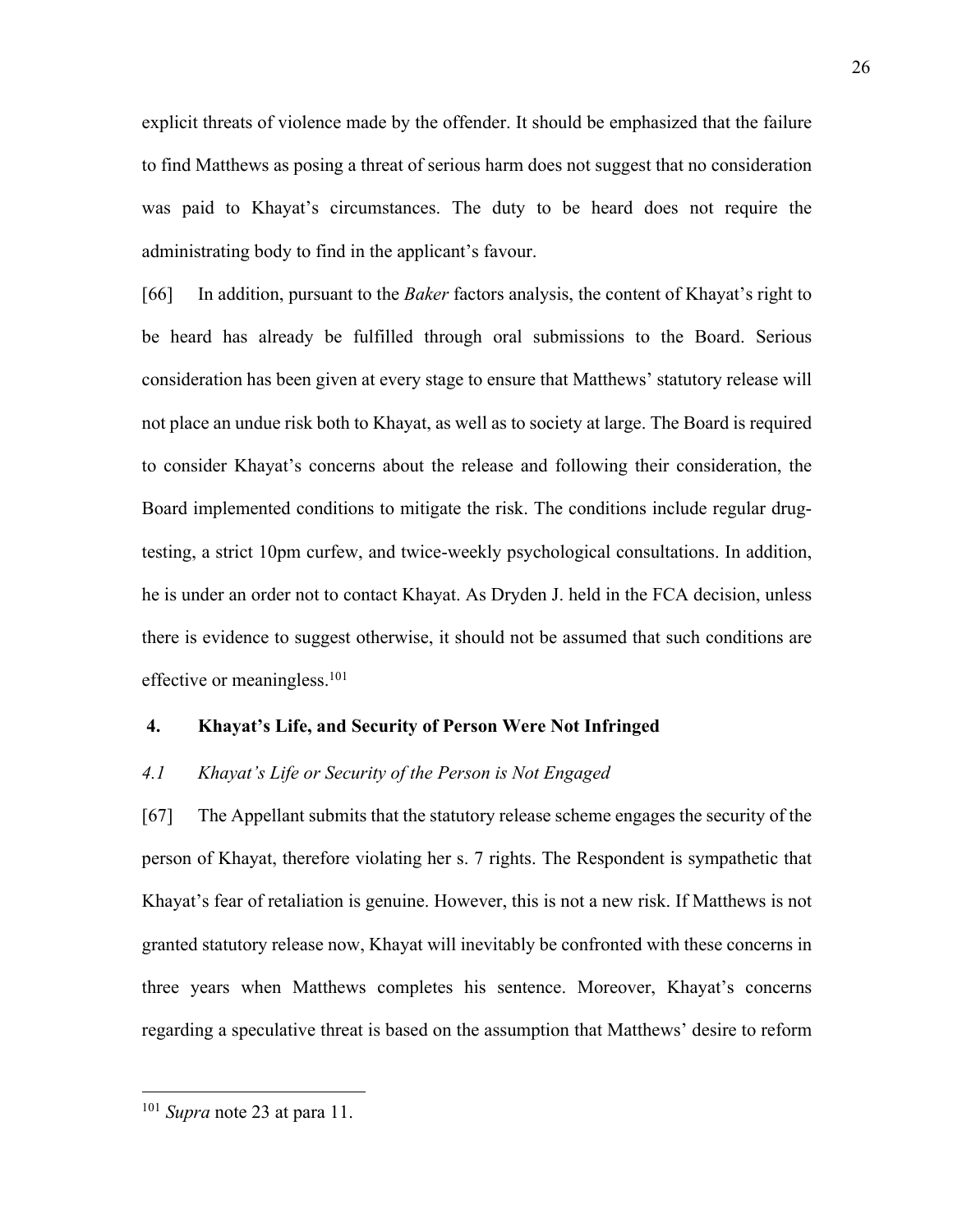explicit threats of violence made by the offender. It should be emphasized that the failure to find Matthews as posing a threat of serious harm does not suggest that no consideration was paid to Khayat's circumstances. The duty to be heard does not require the administrating body to find in the applicant's favour.

[66] In addition, pursuant to the *Baker* factors analysis, the content of Khayat's right to be heard has already be fulfilled through oral submissions to the Board. Serious consideration has been given at every stage to ensure that Matthews' statutory release will not place an undue risk both to Khayat, as well as to society at large. The Board is required to consider Khayat's concerns about the release and following their consideration, the Board implemented conditions to mitigate the risk. The conditions include regular drugtesting, a strict 10pm curfew, and twice-weekly psychological consultations. In addition, he is under an order not to contact Khayat. As Dryden J. held in the FCA decision, unless there is evidence to suggest otherwise, it should not be assumed that such conditions are effective or meaningless.<sup>101</sup>

#### **4. Khayat's Life, and Security of Person Were Not Infringed**

#### *4.1 Khayat's Life or Security of the Person is Not Engaged*

[67] The Appellant submits that the statutory release scheme engages the security of the person of Khayat, therefore violating her s. 7 rights. The Respondent is sympathetic that Khayat's fear of retaliation is genuine. However, this is not a new risk. If Matthews is not granted statutory release now, Khayat will inevitably be confronted with these concerns in three years when Matthews completes his sentence. Moreover, Khayat's concerns regarding a speculative threat is based on the assumption that Matthews' desire to reform

<sup>101</sup> *Supra* note 23 at para 11.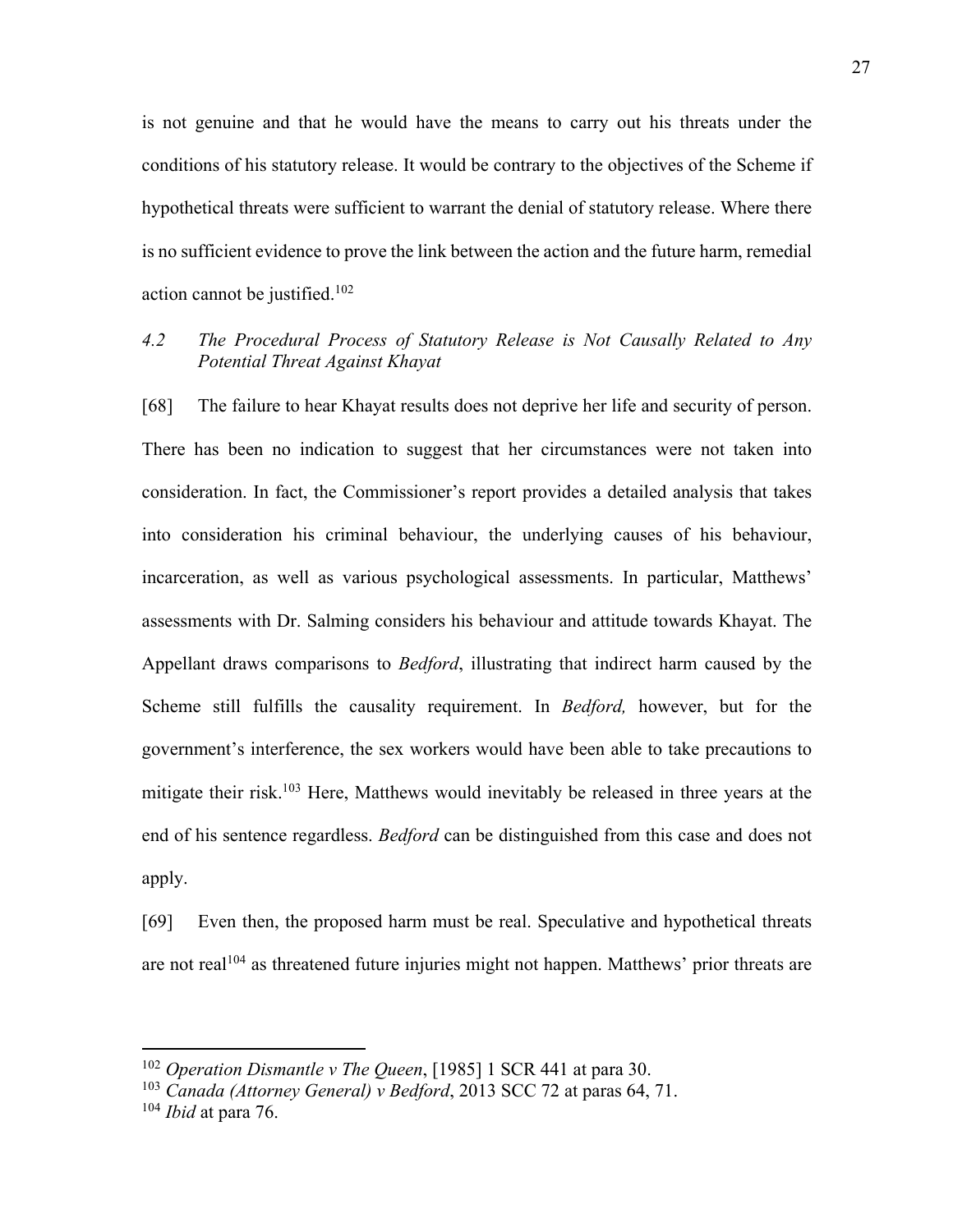is not genuine and that he would have the means to carry out his threats under the conditions of his statutory release. It would be contrary to the objectives of the Scheme if hypothetical threats were sufficient to warrant the denial of statutory release. Where there is no sufficient evidence to prove the link between the action and the future harm, remedial action cannot be justified.102

## *4.2 The Procedural Process of Statutory Release is Not Causally Related to Any Potential Threat Against Khayat*

[68] The failure to hear Khayat results does not deprive her life and security of person. There has been no indication to suggest that her circumstances were not taken into consideration. In fact, the Commissioner's report provides a detailed analysis that takes into consideration his criminal behaviour, the underlying causes of his behaviour, incarceration, as well as various psychological assessments. In particular, Matthews' assessments with Dr. Salming considers his behaviour and attitude towards Khayat. The Appellant draws comparisons to *Bedford*, illustrating that indirect harm caused by the Scheme still fulfills the causality requirement. In *Bedford,* however, but for the government's interference, the sex workers would have been able to take precautions to mitigate their risk.103 Here, Matthews would inevitably be released in three years at the end of his sentence regardless. *Bedford* can be distinguished from this case and does not apply.

[69] Even then, the proposed harm must be real. Speculative and hypothetical threats are not real<sup>104</sup> as threatened future injuries might not happen. Matthews' prior threats are

<sup>102</sup> *Operation Dismantle v The Queen*, [1985] 1 SCR 441 at para 30.

<sup>103</sup> *Canada (Attorney General) v Bedford*, 2013 SCC 72 at paras 64, 71.

<sup>104</sup> *Ibid* at para 76.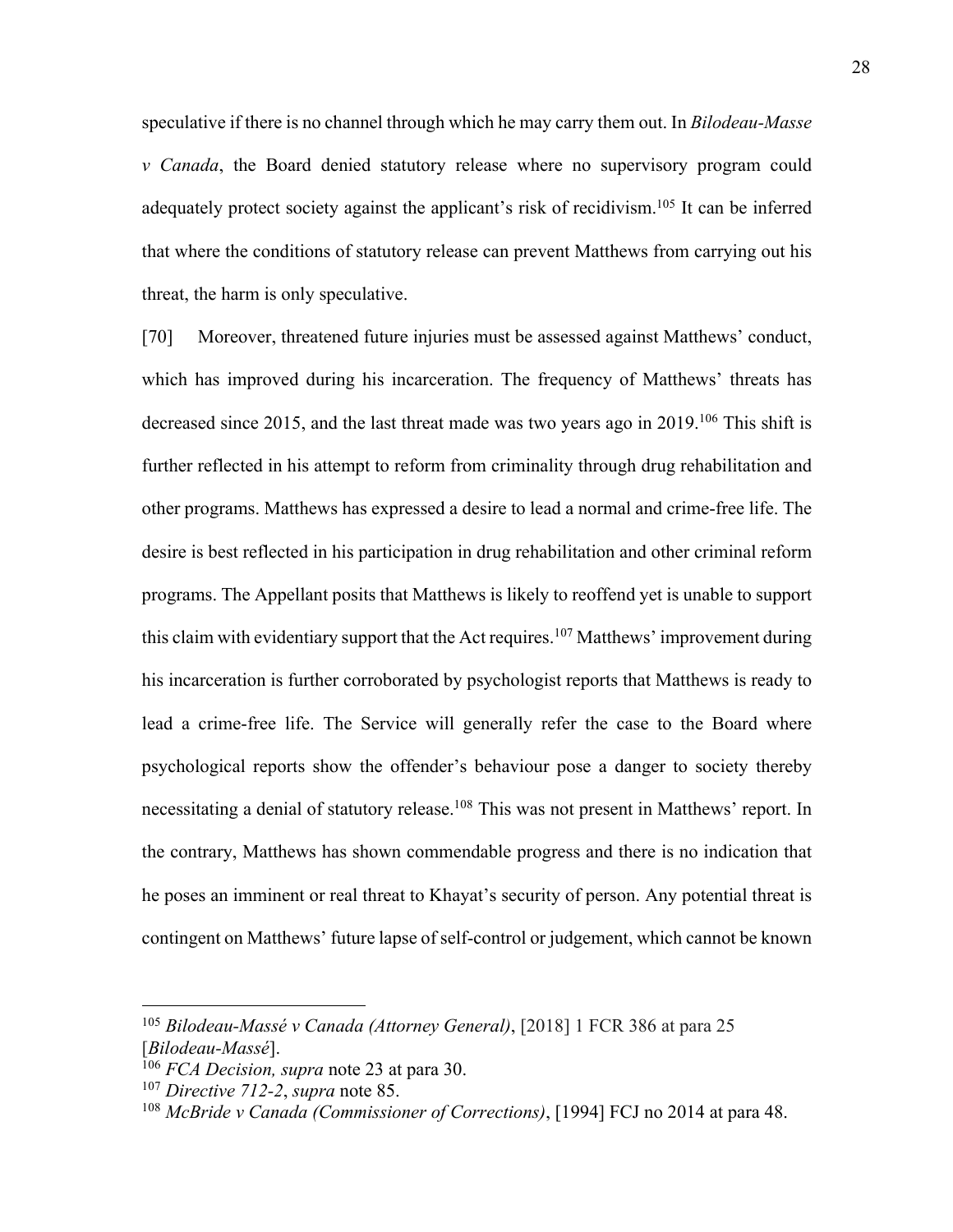speculative if there is no channel through which he may carry them out. In *Bilodeau-Masse v Canada*, the Board denied statutory release where no supervisory program could adequately protect society against the applicant's risk of recidivism.<sup>105</sup> It can be inferred that where the conditions of statutory release can prevent Matthews from carrying out his threat, the harm is only speculative.

[70] Moreover, threatened future injuries must be assessed against Matthews' conduct, which has improved during his incarceration. The frequency of Matthews' threats has decreased since 2015, and the last threat made was two years ago in 2019.<sup>106</sup> This shift is further reflected in his attempt to reform from criminality through drug rehabilitation and other programs. Matthews has expressed a desire to lead a normal and crime-free life. The desire is best reflected in his participation in drug rehabilitation and other criminal reform programs. The Appellant posits that Matthews is likely to reoffend yet is unable to support this claim with evidentiary support that the Act requires.<sup>107</sup> Matthews' improvement during his incarceration is further corroborated by psychologist reports that Matthews is ready to lead a crime-free life. The Service will generally refer the case to the Board where psychological reports show the offender's behaviour pose a danger to society thereby necessitating a denial of statutory release.<sup>108</sup> This was not present in Matthews' report. In the contrary, Matthews has shown commendable progress and there is no indication that he poses an imminent or real threat to Khayat's security of person. Any potential threat is contingent on Matthews' future lapse of self-control or judgement, which cannot be known

<sup>105</sup> *Bilodeau-Massé v Canada (Attorney General)*, [2018] 1 FCR 386 at para 25 [*Bilodeau-Massé*].

<sup>106</sup> *FCA Decision, supra* note 23 at para 30.

<sup>107</sup> *Directive 712-2*, *supra* note 85.

<sup>108</sup> *McBride v Canada (Commissioner of Corrections)*, [1994] FCJ no 2014 at para 48.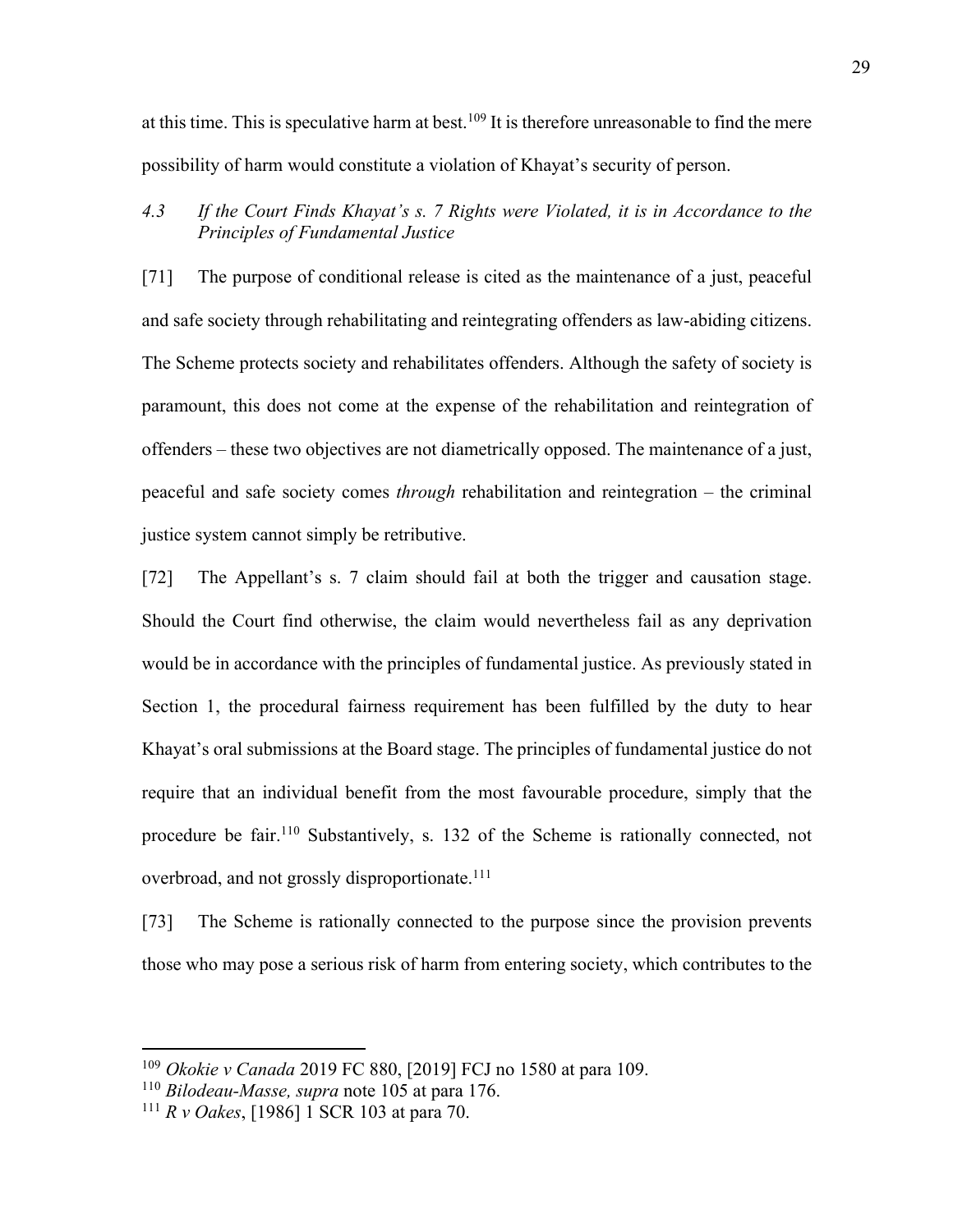at this time. This is speculative harm at best.<sup>109</sup> It is therefore unreasonable to find the mere possibility of harm would constitute a violation of Khayat's security of person.

*4.3 If the Court Finds Khayat's s. 7 Rights were Violated, it is in Accordance to the Principles of Fundamental Justice*

[71] The purpose of conditional release is cited as the maintenance of a just, peaceful and safe society through rehabilitating and reintegrating offenders as law-abiding citizens. The Scheme protects society and rehabilitates offenders. Although the safety of society is paramount, this does not come at the expense of the rehabilitation and reintegration of offenders – these two objectives are not diametrically opposed. The maintenance of a just, peaceful and safe society comes *through* rehabilitation and reintegration – the criminal justice system cannot simply be retributive.

[72] The Appellant's s. 7 claim should fail at both the trigger and causation stage. Should the Court find otherwise, the claim would nevertheless fail as any deprivation would be in accordance with the principles of fundamental justice. As previously stated in Section 1, the procedural fairness requirement has been fulfilled by the duty to hear Khayat's oral submissions at the Board stage. The principles of fundamental justice do not require that an individual benefit from the most favourable procedure, simply that the procedure be fair.110 Substantively, s. 132 of the Scheme is rationally connected, not overbroad, and not grossly disproportionate.<sup>111</sup>

[73] The Scheme is rationally connected to the purpose since the provision prevents those who may pose a serious risk of harm from entering society, which contributes to the

<sup>109</sup> *Okokie v Canada* 2019 FC 880, [2019] FCJ no 1580 at para 109.

<sup>110</sup> *Bilodeau-Masse, supra* note 105 at para 176.

<sup>111</sup> *R v Oakes*, [1986] 1 SCR 103 at para 70.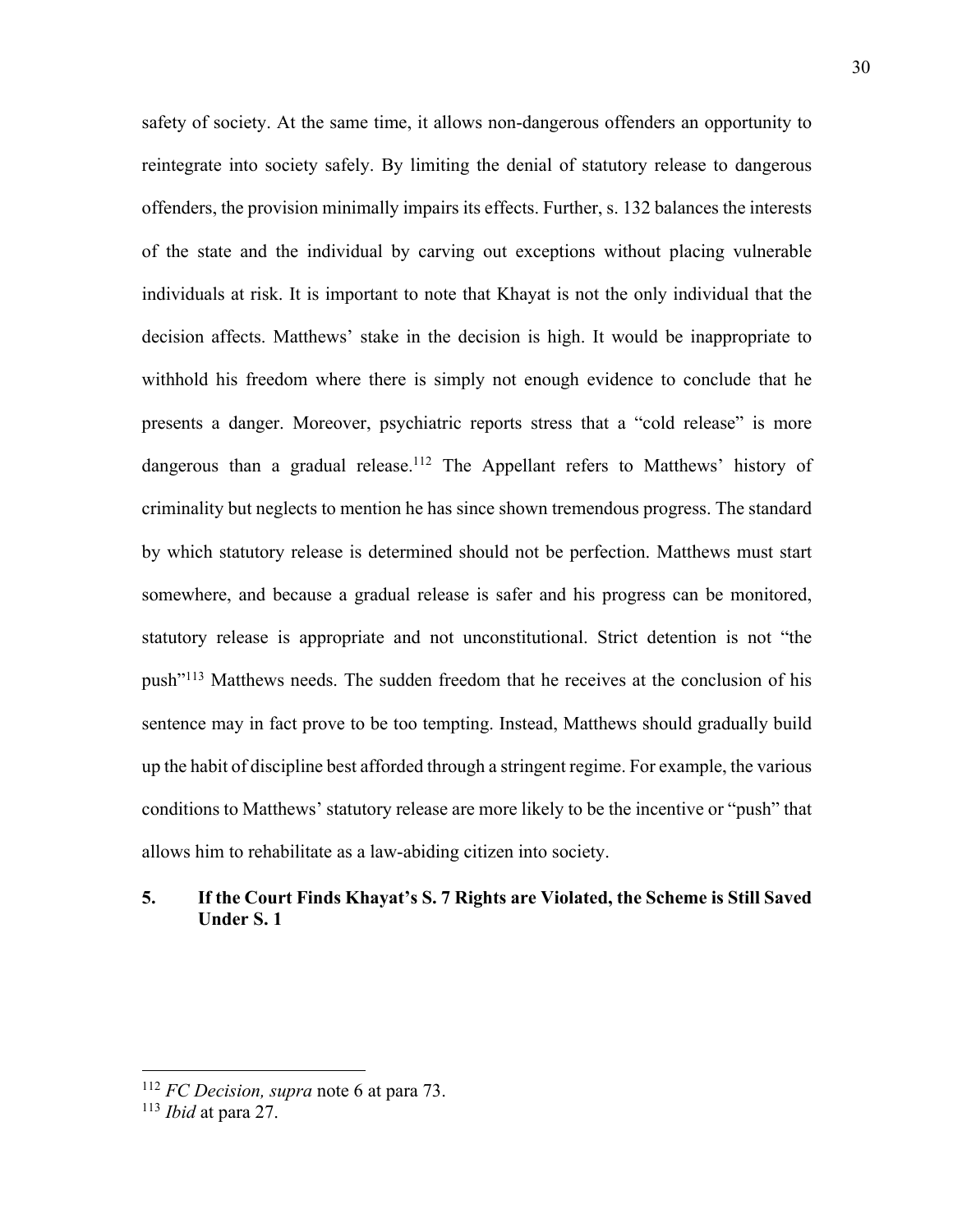safety of society. At the same time, it allows non-dangerous offenders an opportunity to reintegrate into society safely. By limiting the denial of statutory release to dangerous offenders, the provision minimally impairs its effects. Further, s. 132 balances the interests of the state and the individual by carving out exceptions without placing vulnerable individuals at risk. It is important to note that Khayat is not the only individual that the decision affects. Matthews' stake in the decision is high. It would be inappropriate to withhold his freedom where there is simply not enough evidence to conclude that he presents a danger. Moreover, psychiatric reports stress that a "cold release" is more dangerous than a gradual release.<sup>112</sup> The Appellant refers to Matthews' history of criminality but neglects to mention he has since shown tremendous progress. The standard by which statutory release is determined should not be perfection. Matthews must start somewhere, and because a gradual release is safer and his progress can be monitored, statutory release is appropriate and not unconstitutional. Strict detention is not "the push"113 Matthews needs. The sudden freedom that he receives at the conclusion of his sentence may in fact prove to be too tempting. Instead, Matthews should gradually build up the habit of discipline best afforded through a stringent regime. For example, the various conditions to Matthews' statutory release are more likely to be the incentive or "push" that allows him to rehabilitate as a law-abiding citizen into society.

# **5. If the Court Finds Khayat's S. 7 Rights are Violated, the Scheme is Still Saved Under S. 1**

<sup>112</sup> *FC Decision, supra* note 6 at para 73.

<sup>113</sup> *Ibid* at para 27.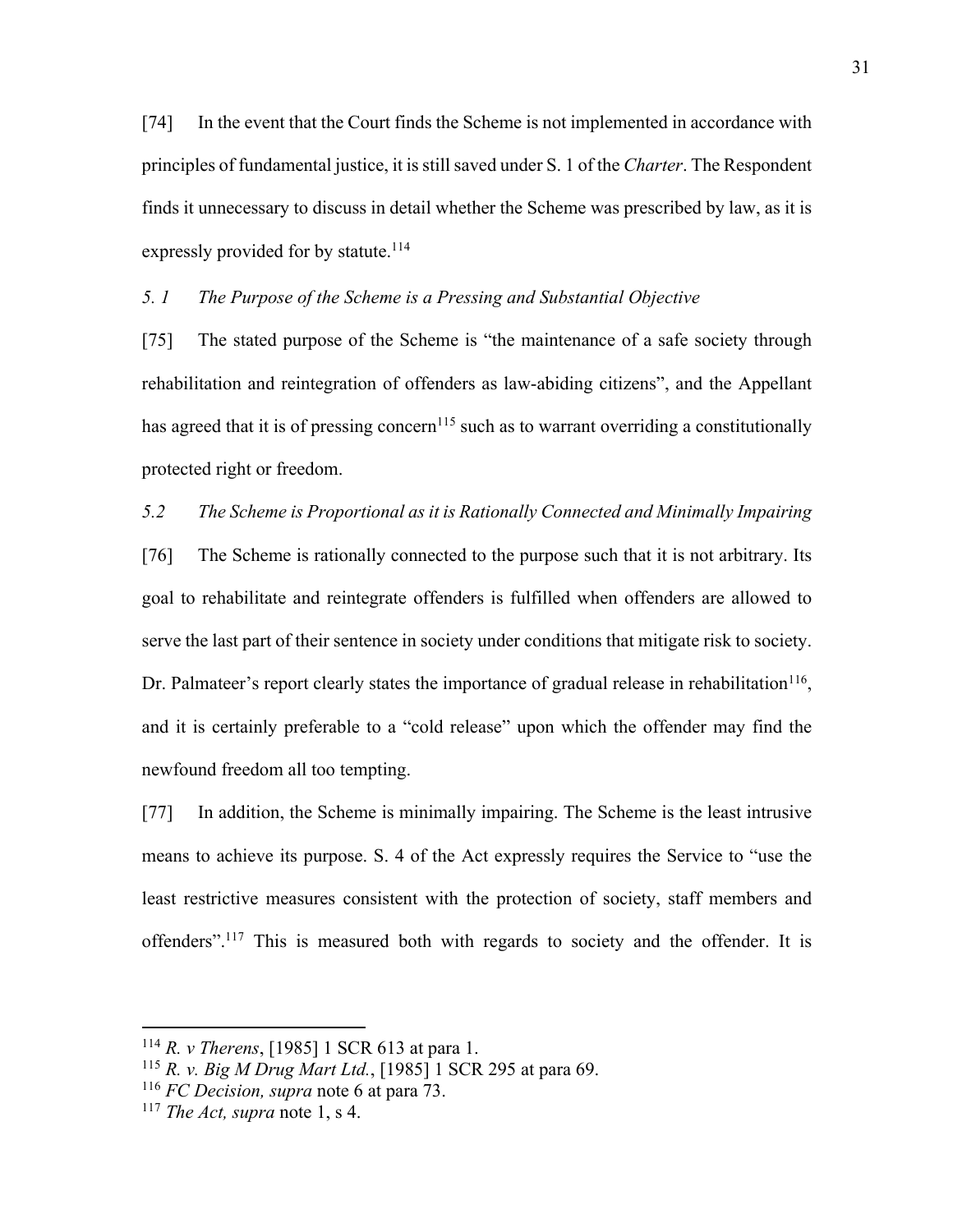[74] In the event that the Court finds the Scheme is not implemented in accordance with principles of fundamental justice, it is still saved under S. 1 of the *Charter*. The Respondent finds it unnecessary to discuss in detail whether the Scheme was prescribed by law, as it is expressly provided for by statute.<sup>114</sup>

#### *5. 1 The Purpose of the Scheme is a Pressing and Substantial Objective*

[75] The stated purpose of the Scheme is "the maintenance of a safe society through rehabilitation and reintegration of offenders as law-abiding citizens", and the Appellant has agreed that it is of pressing concern<sup>115</sup> such as to warrant overriding a constitutionally protected right or freedom.

#### *5.2 The Scheme is Proportional as it is Rationally Connected and Minimally Impairing*

[76] The Scheme is rationally connected to the purpose such that it is not arbitrary. Its goal to rehabilitate and reintegrate offenders is fulfilled when offenders are allowed to serve the last part of their sentence in society under conditions that mitigate risk to society. Dr. Palmateer's report clearly states the importance of gradual release in rehabilitation<sup>116</sup>, and it is certainly preferable to a "cold release" upon which the offender may find the newfound freedom all too tempting.

[77] In addition, the Scheme is minimally impairing. The Scheme is the least intrusive means to achieve its purpose. S. 4 of the Act expressly requires the Service to "use the least restrictive measures consistent with the protection of society, staff members and offenders".117 This is measured both with regards to society and the offender. It is

<sup>114</sup> *R. v Therens*, [1985] 1 SCR 613 at para 1.

<sup>115</sup> *R. v. Big M Drug Mart Ltd.*, [1985] 1 SCR 295 at para 69.

<sup>116</sup> *FC Decision, supra* note 6 at para 73.

<sup>117</sup> *The Act, supra* note 1, s 4.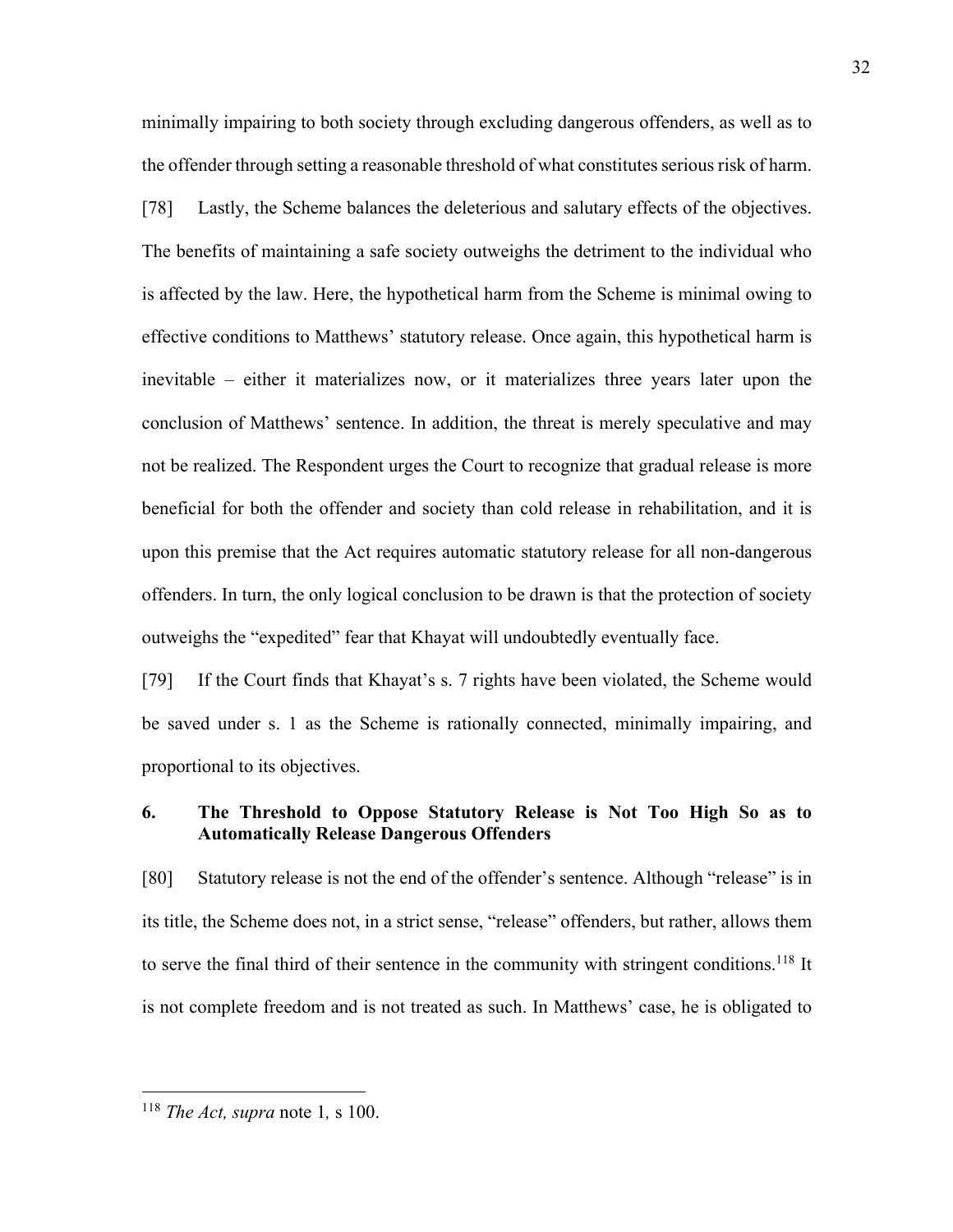minimally impairing to both society through excluding dangerous offenders, as well as to the offender through setting a reasonable threshold of what constitutes serious risk of harm.

[78] Lastly, the Scheme balances the deleterious and salutary effects of the objectives. The benefits of maintaining a safe society outweighs the detriment to the individual who is affected by the law. Here, the hypothetical harm from the Scheme is minimal owing to effective conditions to Matthews' statutory release. Once again, this hypothetical harm is inevitable – either it materializes now, or it materializes three years later upon the conclusion of Matthews' sentence. In addition, the threat is merely speculative and may not be realized. The Respondent urges the Court to recognize that gradual release is more beneficial for both the offender and society than cold release in rehabilitation, and it is upon this premise that the Act requires automatic statutory release for all non-dangerous offenders. In turn, the only logical conclusion to be drawn is that the protection of society outweighs the "expedited" fear that Khayat will undoubtedly eventually face.

[79] If the Court finds that Khayat's s. 7 rights have been violated, the Scheme would be saved under s. 1 as the Scheme is rationally connected, minimally impairing, and proportional to its objectives.

# **6. The Threshold to Oppose Statutory Release is Not Too High So as to Automatically Release Dangerous Offenders**

[80] Statutory release is not the end of the offender's sentence. Although "release" is in its title, the Scheme does not, in a strict sense, "release" offenders, but rather, allows them to serve the final third of their sentence in the community with stringent conditions.<sup>118</sup> It is not complete freedom and is not treated as such. In Matthews' case, he is obligated to

<sup>32</sup>

<sup>118</sup> *The Act, supra* note 1*,* s 100.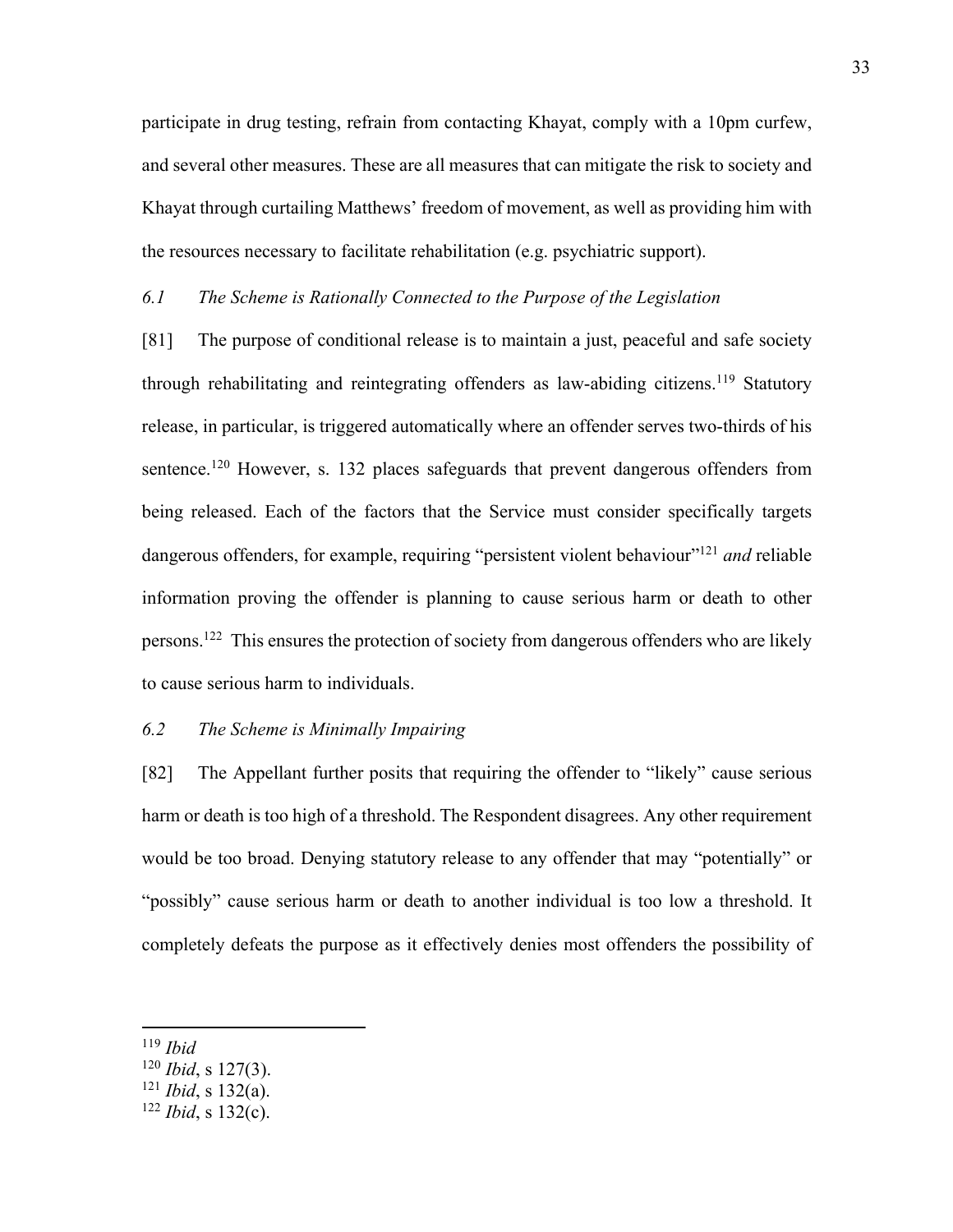participate in drug testing, refrain from contacting Khayat, comply with a 10pm curfew, and several other measures. These are all measures that can mitigate the risk to society and Khayat through curtailing Matthews' freedom of movement, as well as providing him with the resources necessary to facilitate rehabilitation (e.g. psychiatric support).

#### *6.1 The Scheme is Rationally Connected to the Purpose of the Legislation*

[81] The purpose of conditional release is to maintain a just, peaceful and safe society through rehabilitating and reintegrating offenders as law-abiding citizens.<sup>119</sup> Statutory release, in particular, is triggered automatically where an offender serves two-thirds of his sentence.<sup>120</sup> However, s. 132 places safeguards that prevent dangerous offenders from being released. Each of the factors that the Service must consider specifically targets dangerous offenders, for example, requiring "persistent violent behaviour"<sup>121</sup> and reliable information proving the offender is planning to cause serious harm or death to other persons.122 This ensures the protection of society from dangerous offenders who are likely to cause serious harm to individuals.

## *6.2 The Scheme is Minimally Impairing*

[82] The Appellant further posits that requiring the offender to "likely" cause serious harm or death is too high of a threshold. The Respondent disagrees. Any other requirement would be too broad. Denying statutory release to any offender that may "potentially" or "possibly" cause serious harm or death to another individual is too low a threshold. It completely defeats the purpose as it effectively denies most offenders the possibility of

<sup>119</sup> *Ibid*

<sup>120</sup> *Ibid*, s 127(3).

<sup>121</sup> *Ibid*, s 132(a).

<sup>122</sup> *Ibid*, s 132(c).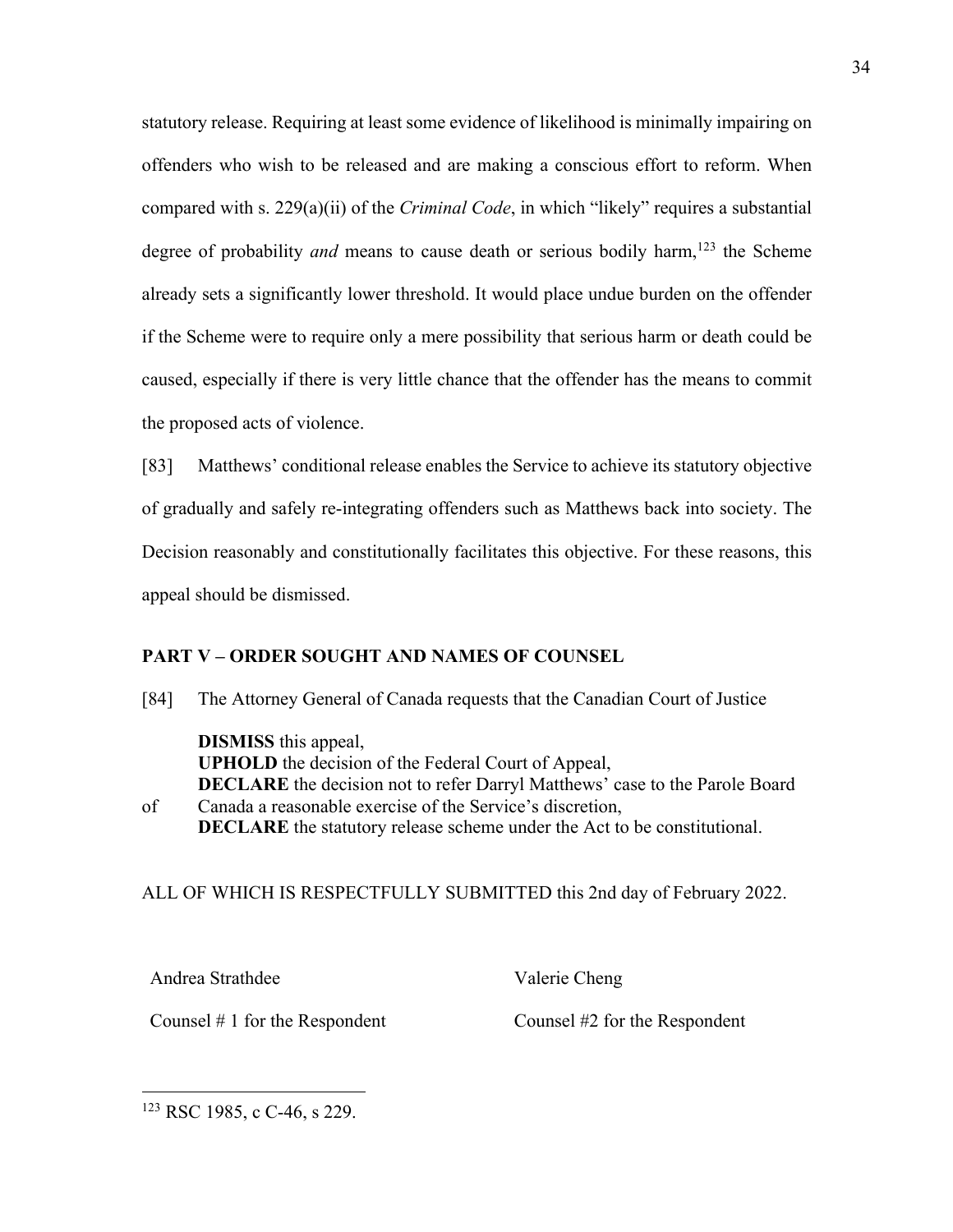statutory release. Requiring at least some evidence of likelihood is minimally impairing on offenders who wish to be released and are making a conscious effort to reform. When compared with s. 229(a)(ii) of the *Criminal Code*, in which "likely" requires a substantial degree of probability *and* means to cause death or serious bodily harm,<sup>123</sup> the Scheme already sets a significantly lower threshold. It would place undue burden on the offender if the Scheme were to require only a mere possibility that serious harm or death could be caused, especially if there is very little chance that the offender has the means to commit the proposed acts of violence.

[83] Matthews' conditional release enables the Service to achieve its statutory objective of gradually and safely re-integrating offenders such as Matthews back into society. The Decision reasonably and constitutionally facilitates this objective. For these reasons, this appeal should be dismissed.

#### **PART V – ORDER SOUGHT AND NAMES OF COUNSEL**

[84] The Attorney General of Canada requests that the Canadian Court of Justice

**DISMISS** this appeal, **UPHOLD** the decision of the Federal Court of Appeal, **DECLARE** the decision not to refer Darryl Matthews' case to the Parole Board of Canada a reasonable exercise of the Service's discretion, **DECLARE** the statutory release scheme under the Act to be constitutional.

#### ALL OF WHICH IS RESPECTFULLY SUBMITTED this 2nd day of February 2022.

Andrea Strathdee

Counsel # 1 for the Respondent

Counsel #2 for the Respondent

Valerie Cheng

<sup>123</sup> RSC 1985, c C-46, s 229.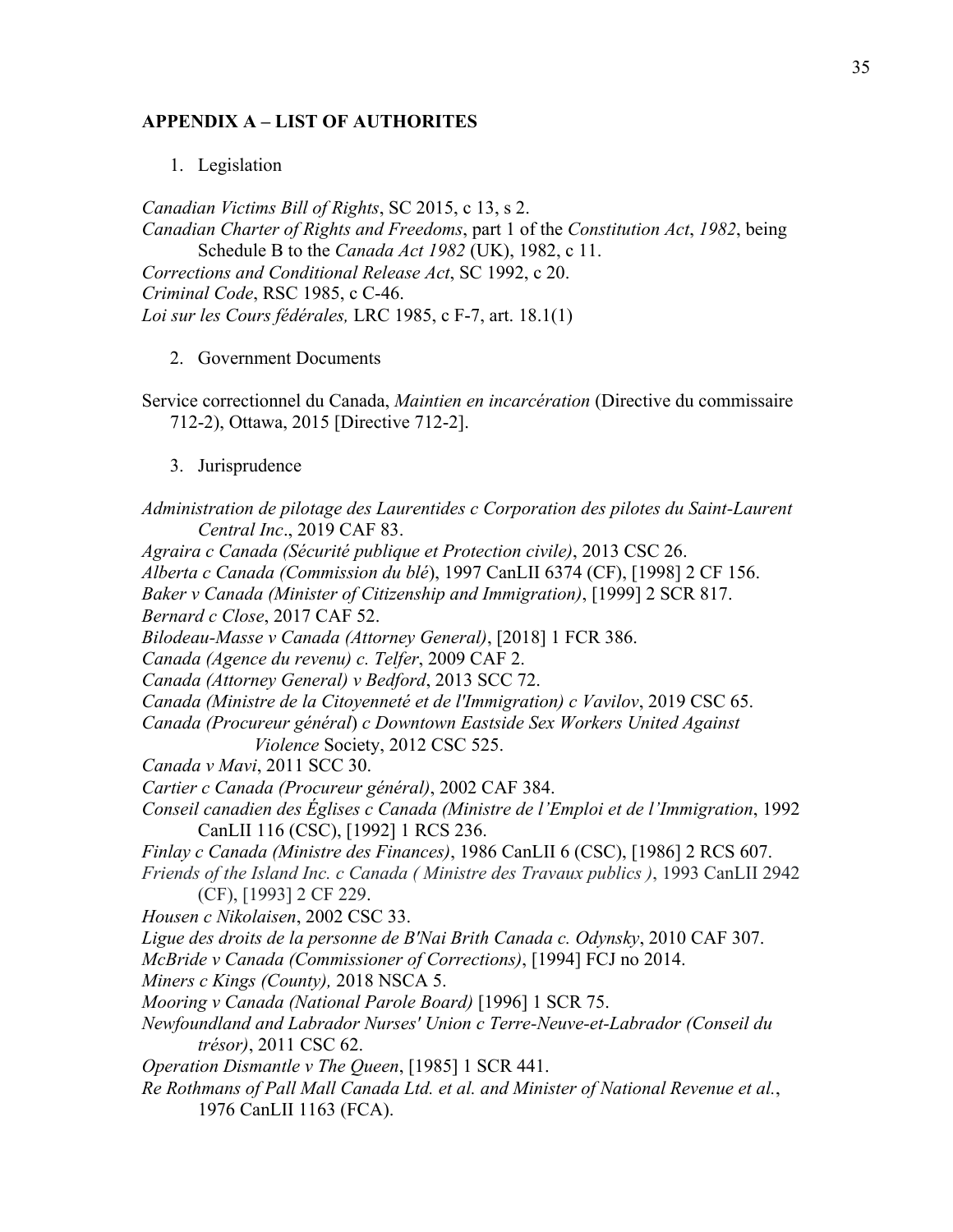### **APPENDIX A – LIST OF AUTHORITES**

1. Legislation

*Canadian Victims Bill of Rights*, SC 2015, c 13, s 2. *Canadian Charter of Rights and Freedoms*, part 1 of the *Constitution Act*, *1982*, being Schedule B to the *Canada Act 1982* (UK), 1982, c 11. *Corrections and Conditional Release Act*, SC 1992, c 20. *Criminal Code*, RSC 1985, c C-46. *Loi sur les Cours fédérales,* LRC 1985, c F-7, art. 18.1(1)

2. Government Documents

Service correctionnel du Canada, *Maintien en incarcération* (Directive du commissaire 712-2), Ottawa, 2015 [Directive 712-2].

3. Jurisprudence

*Administration de pilotage des Laurentides c Corporation des pilotes du Saint-Laurent Central Inc*., 2019 CAF 83. *Agraira c Canada (Sécurité publique et Protection civile)*, 2013 CSC 26. *Alberta c Canada (Commission du blé*), 1997 CanLII 6374 (CF), [1998] 2 CF 156. *Baker v Canada (Minister of Citizenship and Immigration)*, [1999] 2 SCR 817. *Bernard c Close*, 2017 CAF 52. *Bilodeau-Masse v Canada (Attorney General)*, [2018] 1 FCR 386. *Canada (Agence du revenu) c. Telfer*, 2009 CAF 2. *Canada (Attorney General) v Bedford*, 2013 SCC 72. *Canada (Ministre de la Citoyenneté et de l'Immigration) c Vavilov*, 2019 CSC 65. *Canada (Procureur général*) *c Downtown Eastside Sex Workers United Against Violence* Society, 2012 CSC 525. *Canada v Mavi*, 2011 SCC 30. *Cartier c Canada (Procureur général)*, 2002 CAF 384. *Conseil canadien des Églises c Canada (Ministre de l'Emploi et de l'Immigration*, 1992 CanLII 116 (CSC), [1992] 1 RCS 236. *Finlay c Canada (Ministre des Finances)*, 1986 CanLII 6 (CSC), [1986] 2 RCS 607. *Friends of the Island Inc. c Canada ( Ministre des Travaux publics )*, 1993 CanLII 2942 (CF), [1993] 2 CF 229. *Housen c Nikolaisen*, 2002 CSC 33. *Ligue des droits de la personne de B'Nai Brith Canada c. Odynsky*, 2010 CAF 307. *McBride v Canada (Commissioner of Corrections)*, [1994] FCJ no 2014. *Miners c Kings (County),* 2018 NSCA 5. *Mooring v Canada (National Parole Board)* [1996] 1 SCR 75. *Newfoundland and Labrador Nurses' Union c Terre-Neuve-et-Labrador (Conseil du trésor)*, 2011 CSC 62. *Operation Dismantle v The Queen*, [1985] 1 SCR 441. *Re Rothmans of Pall Mall Canada Ltd. et al. and Minister of National Revenue et al.*, 1976 CanLII 1163 (FCA).